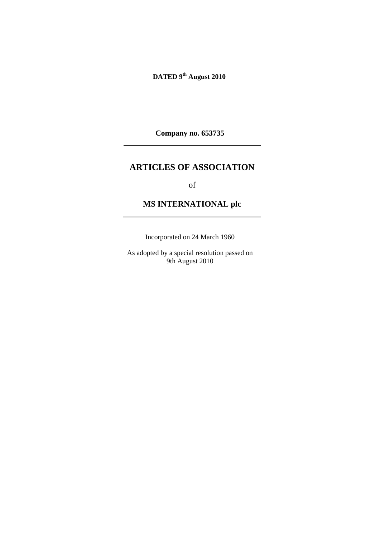**DATED 9th August 2010** 

**Company no. 653735** 

# **ARTICLES OF ASSOCIATION**

of

# **MS INTERNATIONAL plc**

Incorporated on 24 March 1960

As adopted by a special resolution passed on 9th August 2010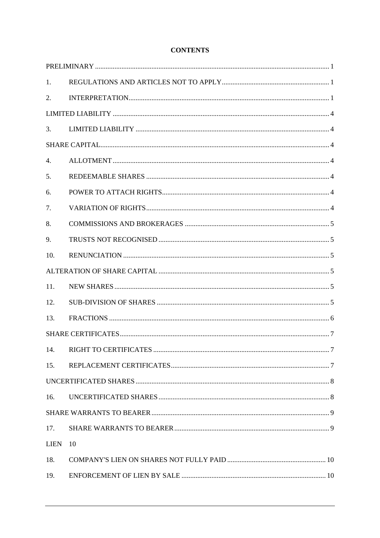| 1.          |     |  |
|-------------|-----|--|
| 2.          |     |  |
|             |     |  |
| 3.          |     |  |
|             |     |  |
| 4.          |     |  |
| 5.          |     |  |
| 6.          |     |  |
| 7.          |     |  |
| 8.          |     |  |
| 9.          |     |  |
| 10.         |     |  |
|             |     |  |
| 11.         |     |  |
| 12.         |     |  |
| 13.         |     |  |
|             |     |  |
| 14.         | . 7 |  |
| 15.         |     |  |
|             |     |  |
| 16.         |     |  |
|             |     |  |
| 17.         |     |  |
| <b>LIEN</b> | 10  |  |
| 18.         |     |  |
| 19.         |     |  |

# **CONTENTS**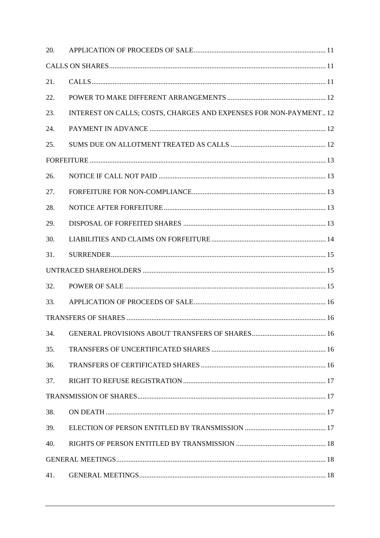| 20. |                                                                   |  |
|-----|-------------------------------------------------------------------|--|
|     |                                                                   |  |
| 21. |                                                                   |  |
| 22. |                                                                   |  |
| 23. | INTEREST ON CALLS; COSTS, CHARGES AND EXPENSES FOR NON-PAYMENT 12 |  |
| 24. |                                                                   |  |
| 25. |                                                                   |  |
|     |                                                                   |  |
| 26. |                                                                   |  |
| 27. |                                                                   |  |
| 28. |                                                                   |  |
| 29. |                                                                   |  |
| 30. |                                                                   |  |
| 31. |                                                                   |  |
|     |                                                                   |  |
| 32. |                                                                   |  |
| 33. |                                                                   |  |
|     |                                                                   |  |
| 34. |                                                                   |  |
| 35. |                                                                   |  |
| 36. |                                                                   |  |
| 37. |                                                                   |  |
|     |                                                                   |  |
| 38. |                                                                   |  |
| 39. |                                                                   |  |
| 40. |                                                                   |  |
|     |                                                                   |  |
| 41. |                                                                   |  |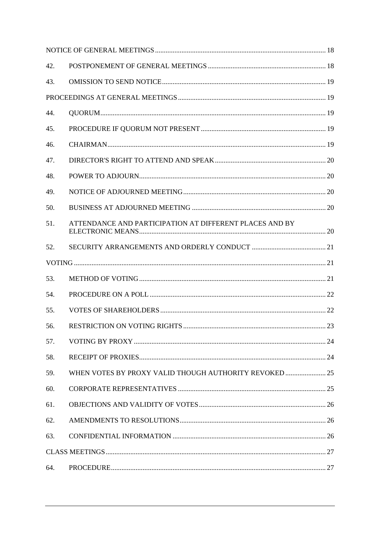| 42. |                                                         |  |
|-----|---------------------------------------------------------|--|
| 43. |                                                         |  |
|     |                                                         |  |
| 44. |                                                         |  |
| 45. |                                                         |  |
| 46. |                                                         |  |
| 47. |                                                         |  |
| 48. |                                                         |  |
| 49. |                                                         |  |
| 50. |                                                         |  |
| 51. | ATTENDANCE AND PARTICIPATION AT DIFFERENT PLACES AND BY |  |
| 52. |                                                         |  |
|     |                                                         |  |
| 53. |                                                         |  |
| 54. |                                                         |  |
| 55. |                                                         |  |
| 56. |                                                         |  |
| 57. |                                                         |  |
| 58. |                                                         |  |
| 59. | WHEN VOTES BY PROXY VALID THOUGH AUTHORITY REVOKED  25  |  |
| 60. |                                                         |  |
| 61. |                                                         |  |
| 62. |                                                         |  |
| 63. |                                                         |  |
|     |                                                         |  |
| 64. |                                                         |  |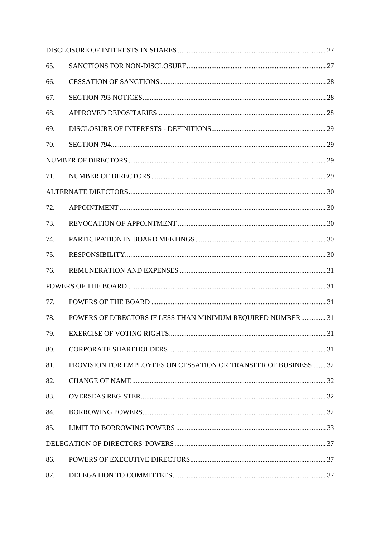| 65. |                                                                  |  |
|-----|------------------------------------------------------------------|--|
| 66. |                                                                  |  |
| 67. |                                                                  |  |
| 68. |                                                                  |  |
| 69. |                                                                  |  |
| 70. |                                                                  |  |
|     |                                                                  |  |
| 71. |                                                                  |  |
|     |                                                                  |  |
| 72. |                                                                  |  |
| 73. |                                                                  |  |
| 74. |                                                                  |  |
| 75. |                                                                  |  |
| 76. |                                                                  |  |
|     |                                                                  |  |
| 77. |                                                                  |  |
| 78. | POWERS OF DIRECTORS IF LESS THAN MINIMUM REQUIRED NUMBER 31      |  |
| 79. |                                                                  |  |
| 80. |                                                                  |  |
| 81. | PROVISION FOR EMPLOYEES ON CESSATION OR TRANSFER OF BUSINESS  32 |  |
| 82. |                                                                  |  |
| 83. |                                                                  |  |
| 84. |                                                                  |  |
| 85. |                                                                  |  |
|     |                                                                  |  |
| 86. |                                                                  |  |
| 87. |                                                                  |  |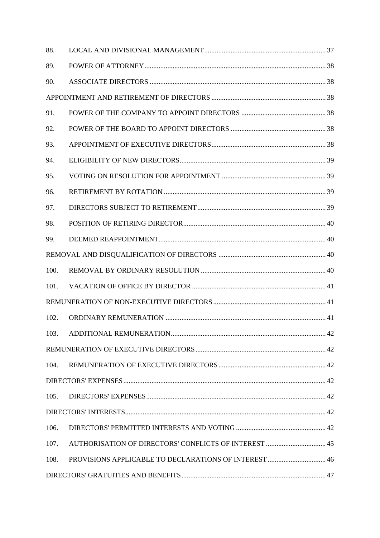| 88.  |  |
|------|--|
| 89.  |  |
| 90.  |  |
|      |  |
| 91.  |  |
| 92.  |  |
| 93.  |  |
| 94.  |  |
| 95.  |  |
| 96.  |  |
| 97.  |  |
| 98.  |  |
| 99.  |  |
|      |  |
| 100. |  |
| 101. |  |
|      |  |
| 102. |  |
| 103. |  |
|      |  |
| 104. |  |
|      |  |
| 105. |  |
|      |  |
| 106. |  |
| 107. |  |
| 108. |  |
|      |  |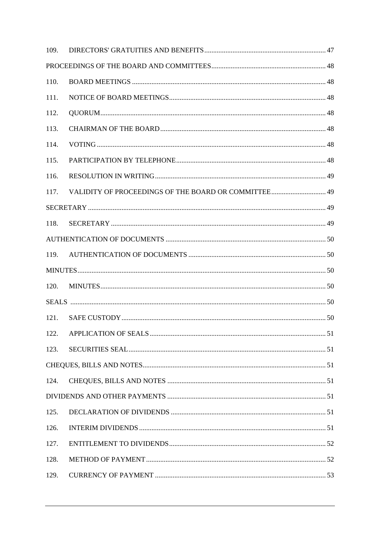| 109. |                                                      |  |
|------|------------------------------------------------------|--|
|      |                                                      |  |
| 110. |                                                      |  |
| 111. |                                                      |  |
| 112. |                                                      |  |
| 113. |                                                      |  |
| 114. |                                                      |  |
| 115. |                                                      |  |
| 116. |                                                      |  |
| 117. | VALIDITY OF PROCEEDINGS OF THE BOARD OR COMMITTEE 49 |  |
|      |                                                      |  |
| 118. |                                                      |  |
|      |                                                      |  |
| 119. |                                                      |  |
|      |                                                      |  |
| 120. |                                                      |  |
|      |                                                      |  |
| 121. |                                                      |  |
| 122. |                                                      |  |
| 123. |                                                      |  |
|      |                                                      |  |
| 124. |                                                      |  |
|      |                                                      |  |
| 125. |                                                      |  |
| 126. |                                                      |  |
| 127. |                                                      |  |
| 128. |                                                      |  |
|      |                                                      |  |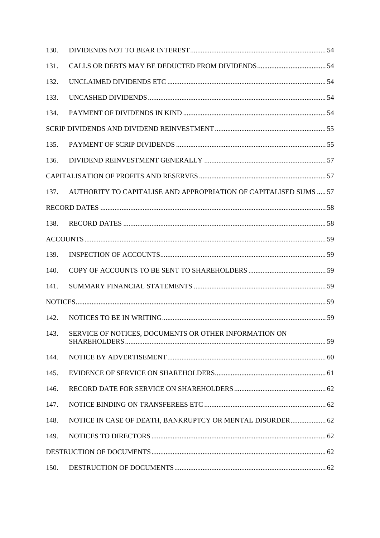| 130. |                                                                   |  |
|------|-------------------------------------------------------------------|--|
| 131. |                                                                   |  |
| 132. |                                                                   |  |
| 133. |                                                                   |  |
| 134. |                                                                   |  |
|      |                                                                   |  |
| 135. |                                                                   |  |
| 136. |                                                                   |  |
|      |                                                                   |  |
| 137. | AUTHORITY TO CAPITALISE AND APPROPRIATION OF CAPITALISED SUMS  57 |  |
|      |                                                                   |  |
| 138. |                                                                   |  |
|      |                                                                   |  |
| 139. |                                                                   |  |
| 140. |                                                                   |  |
| 141. |                                                                   |  |
|      |                                                                   |  |
| 142. |                                                                   |  |
| 143. | SERVICE OF NOTICES, DOCUMENTS OR OTHER INFORMATION ON             |  |
| 144. |                                                                   |  |
| 145. |                                                                   |  |
| 146. |                                                                   |  |
| 147. |                                                                   |  |
| 148. | NOTICE IN CASE OF DEATH, BANKRUPTCY OR MENTAL DISORDER 62         |  |
| 149. |                                                                   |  |
|      |                                                                   |  |
| 150. |                                                                   |  |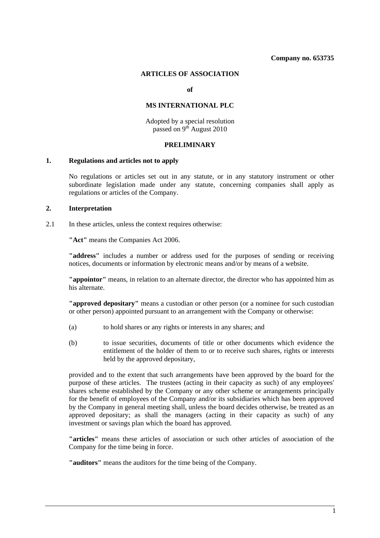#### **ARTICLES OF ASSOCIATION**

**of** 

#### **MS INTERNATIONAL PLC**

Adopted by a special resolution passed on 9<sup>th</sup> August 2010

## **PRELIMINARY**

#### **1. Regulations and articles not to apply**

No regulations or articles set out in any statute, or in any statutory instrument or other subordinate legislation made under any statute, concerning companies shall apply as regulations or articles of the Company.

#### **2. Interpretation**

2.1 In these articles, unless the context requires otherwise:

**"Act"** means the Companies Act 2006.

**"address"** includes a number or address used for the purposes of sending or receiving notices, documents or information by electronic means and/or by means of a website.

**"appointor"** means, in relation to an alternate director, the director who has appointed him as his alternate.

**"approved depositary"** means a custodian or other person (or a nominee for such custodian or other person) appointed pursuant to an arrangement with the Company or otherwise:

- (a) to hold shares or any rights or interests in any shares; and
- (b) to issue securities, documents of title or other documents which evidence the entitlement of the holder of them to or to receive such shares, rights or interests held by the approved depositary,

provided and to the extent that such arrangements have been approved by the board for the purpose of these articles. The trustees (acting in their capacity as such) of any employees' shares scheme established by the Company or any other scheme or arrangements principally for the benefit of employees of the Company and/or its subsidiaries which has been approved by the Company in general meeting shall, unless the board decides otherwise, be treated as an approved depositary; as shall the managers (acting in their capacity as such) of any investment or savings plan which the board has approved.

**"articles"** means these articles of association or such other articles of association of the Company for the time being in force.

**"auditors"** means the auditors for the time being of the Company.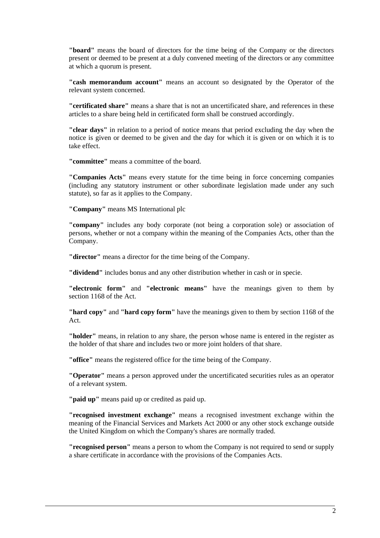**"board"** means the board of directors for the time being of the Company or the directors present or deemed to be present at a duly convened meeting of the directors or any committee at which a quorum is present.

**"cash memorandum account"** means an account so designated by the Operator of the relevant system concerned.

**"certificated share"** means a share that is not an uncertificated share, and references in these articles to a share being held in certificated form shall be construed accordingly.

**"clear days"** in relation to a period of notice means that period excluding the day when the notice is given or deemed to be given and the day for which it is given or on which it is to take effect.

**"committee"** means a committee of the board.

**"Companies Acts"** means every statute for the time being in force concerning companies (including any statutory instrument or other subordinate legislation made under any such statute), so far as it applies to the Company.

**"Company"** means MS International plc

**"company"** includes any body corporate (not being a corporation sole) or association of persons, whether or not a company within the meaning of the Companies Acts, other than the Company.

**"director"** means a director for the time being of the Company.

**"dividend"** includes bonus and any other distribution whether in cash or in specie.

**"electronic form"** and **"electronic means"** have the meanings given to them by section 1168 of the Act.

**"hard copy"** and **"hard copy form"** have the meanings given to them by section 1168 of the Act.

**"holder"** means, in relation to any share, the person whose name is entered in the register as the holder of that share and includes two or more joint holders of that share.

**"office"** means the registered office for the time being of the Company.

**"Operator"** means a person approved under the uncertificated securities rules as an operator of a relevant system.

**"paid up"** means paid up or credited as paid up.

**"recognised investment exchange"** means a recognised investment exchange within the meaning of the Financial Services and Markets Act 2000 or any other stock exchange outside the United Kingdom on which the Company's shares are normally traded.

**"recognised person"** means a person to whom the Company is not required to send or supply a share certificate in accordance with the provisions of the Companies Acts.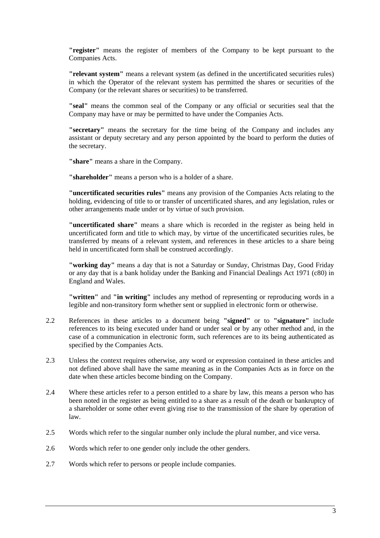**"register"** means the register of members of the Company to be kept pursuant to the Companies Acts.

**"relevant system"** means a relevant system (as defined in the uncertificated securities rules) in which the Operator of the relevant system has permitted the shares or securities of the Company (or the relevant shares or securities) to be transferred.

**"seal"** means the common seal of the Company or any official or securities seal that the Company may have or may be permitted to have under the Companies Acts.

**"secretary"** means the secretary for the time being of the Company and includes any assistant or deputy secretary and any person appointed by the board to perform the duties of the secretary.

**"share"** means a share in the Company.

**"shareholder"** means a person who is a holder of a share.

**"uncertificated securities rules"** means any provision of the Companies Acts relating to the holding, evidencing of title to or transfer of uncertificated shares, and any legislation, rules or other arrangements made under or by virtue of such provision.

**"uncertificated share"** means a share which is recorded in the register as being held in uncertificated form and title to which may, by virtue of the uncertificated securities rules, be transferred by means of a relevant system, and references in these articles to a share being held in uncertificated form shall be construed accordingly.

**"working day"** means a day that is not a Saturday or Sunday, Christmas Day, Good Friday or any day that is a bank holiday under the Banking and Financial Dealings Act 1971 (c80) in England and Wales.

**"written"** and **"in writing"** includes any method of representing or reproducing words in a legible and non-transitory form whether sent or supplied in electronic form or otherwise.

- 2.2 References in these articles to a document being **"signed"** or to **"signature"** include references to its being executed under hand or under seal or by any other method and, in the case of a communication in electronic form, such references are to its being authenticated as specified by the Companies Acts.
- 2.3 Unless the context requires otherwise, any word or expression contained in these articles and not defined above shall have the same meaning as in the Companies Acts as in force on the date when these articles become binding on the Company.
- 2.4 Where these articles refer to a person entitled to a share by law, this means a person who has been noted in the register as being entitled to a share as a result of the death or bankruptcy of a shareholder or some other event giving rise to the transmission of the share by operation of law.
- 2.5 Words which refer to the singular number only include the plural number, and vice versa.
- 2.6 Words which refer to one gender only include the other genders.
- 2.7 Words which refer to persons or people include companies.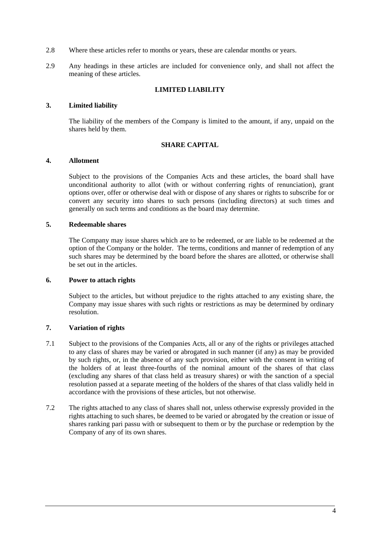- 2.8 Where these articles refer to months or years, these are calendar months or years.
- 2.9 Any headings in these articles are included for convenience only, and shall not affect the meaning of these articles.

## **LIMITED LIABILITY**

#### **3. Limited liability**

The liability of the members of the Company is limited to the amount, if any, unpaid on the shares held by them.

## **SHARE CAPITAL**

#### **4. Allotment**

Subject to the provisions of the Companies Acts and these articles, the board shall have unconditional authority to allot (with or without conferring rights of renunciation), grant options over, offer or otherwise deal with or dispose of any shares or rights to subscribe for or convert any security into shares to such persons (including directors) at such times and generally on such terms and conditions as the board may determine.

#### **5. Redeemable shares**

The Company may issue shares which are to be redeemed, or are liable to be redeemed at the option of the Company or the holder. The terms, conditions and manner of redemption of any such shares may be determined by the board before the shares are allotted, or otherwise shall be set out in the articles.

#### **6. Power to attach rights**

Subject to the articles, but without prejudice to the rights attached to any existing share, the Company may issue shares with such rights or restrictions as may be determined by ordinary resolution.

#### **7. Variation of rights**

- 7.1 Subject to the provisions of the Companies Acts, all or any of the rights or privileges attached to any class of shares may be varied or abrogated in such manner (if any) as may be provided by such rights, or, in the absence of any such provision, either with the consent in writing of the holders of at least three-fourths of the nominal amount of the shares of that class (excluding any shares of that class held as treasury shares) or with the sanction of a special resolution passed at a separate meeting of the holders of the shares of that class validly held in accordance with the provisions of these articles, but not otherwise.
- 7.2 The rights attached to any class of shares shall not, unless otherwise expressly provided in the rights attaching to such shares, be deemed to be varied or abrogated by the creation or issue of shares ranking pari passu with or subsequent to them or by the purchase or redemption by the Company of any of its own shares.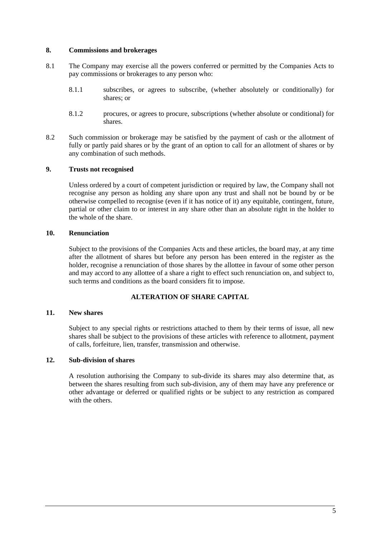#### **8. Commissions and brokerages**

- 8.1 The Company may exercise all the powers conferred or permitted by the Companies Acts to pay commissions or brokerages to any person who:
	- 8.1.1 subscribes, or agrees to subscribe, (whether absolutely or conditionally) for shares; or
	- 8.1.2 procures, or agrees to procure, subscriptions (whether absolute or conditional) for shares.
- 8.2 Such commission or brokerage may be satisfied by the payment of cash or the allotment of fully or partly paid shares or by the grant of an option to call for an allotment of shares or by any combination of such methods.

#### **9. Trusts not recognised**

Unless ordered by a court of competent jurisdiction or required by law, the Company shall not recognise any person as holding any share upon any trust and shall not be bound by or be otherwise compelled to recognise (even if it has notice of it) any equitable, contingent, future, partial or other claim to or interest in any share other than an absolute right in the holder to the whole of the share.

## **10. Renunciation**

Subject to the provisions of the Companies Acts and these articles, the board may, at any time after the allotment of shares but before any person has been entered in the register as the holder, recognise a renunciation of those shares by the allottee in favour of some other person and may accord to any allottee of a share a right to effect such renunciation on, and subject to, such terms and conditions as the board considers fit to impose.

#### **ALTERATION OF SHARE CAPITAL**

#### **11. New shares**

Subject to any special rights or restrictions attached to them by their terms of issue, all new shares shall be subject to the provisions of these articles with reference to allotment, payment of calls, forfeiture, lien, transfer, transmission and otherwise.

## **12. Sub-division of shares**

A resolution authorising the Company to sub-divide its shares may also determine that, as between the shares resulting from such sub-division, any of them may have any preference or other advantage or deferred or qualified rights or be subject to any restriction as compared with the others.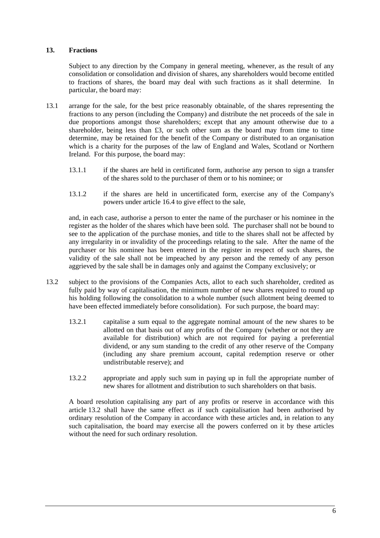## **13. Fractions**

Subject to any direction by the Company in general meeting, whenever, as the result of any consolidation or consolidation and division of shares, any shareholders would become entitled to fractions of shares, the board may deal with such fractions as it shall determine. In particular, the board may:

- 13.1 arrange for the sale, for the best price reasonably obtainable, of the shares representing the fractions to any person (including the Company) and distribute the net proceeds of the sale in due proportions amongst those shareholders; except that any amount otherwise due to a shareholder, being less than £3, or such other sum as the board may from time to time determine, may be retained for the benefit of the Company or distributed to an organisation which is a charity for the purposes of the law of England and Wales, Scotland or Northern Ireland. For this purpose, the board may:
	- 13.1.1 if the shares are held in certificated form, authorise any person to sign a transfer of the shares sold to the purchaser of them or to his nominee; or
	- 13.1.2 if the shares are held in uncertificated form, exercise any of the Company's powers under article 16.4 to give effect to the sale,

and, in each case, authorise a person to enter the name of the purchaser or his nominee in the register as the holder of the shares which have been sold. The purchaser shall not be bound to see to the application of the purchase monies, and title to the shares shall not be affected by any irregularity in or invalidity of the proceedings relating to the sale. After the name of the purchaser or his nominee has been entered in the register in respect of such shares, the validity of the sale shall not be impeached by any person and the remedy of any person aggrieved by the sale shall be in damages only and against the Company exclusively; or

- 13.2 subject to the provisions of the Companies Acts, allot to each such shareholder, credited as fully paid by way of capitalisation, the minimum number of new shares required to round up his holding following the consolidation to a whole number (such allotment being deemed to have been effected immediately before consolidation). For such purpose, the board may:
	- 13.2.1 capitalise a sum equal to the aggregate nominal amount of the new shares to be allotted on that basis out of any profits of the Company (whether or not they are available for distribution) which are not required for paying a preferential dividend, or any sum standing to the credit of any other reserve of the Company (including any share premium account, capital redemption reserve or other undistributable reserve); and
	- 13.2.2 appropriate and apply such sum in paying up in full the appropriate number of new shares for allotment and distribution to such shareholders on that basis.

A board resolution capitalising any part of any profits or reserve in accordance with this article 13.2 shall have the same effect as if such capitalisation had been authorised by ordinary resolution of the Company in accordance with these articles and, in relation to any such capitalisation, the board may exercise all the powers conferred on it by these articles without the need for such ordinary resolution.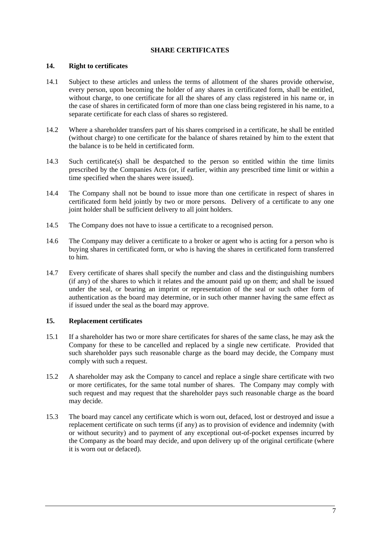## **SHARE CERTIFICATES**

#### **14. Right to certificates**

- 14.1 Subject to these articles and unless the terms of allotment of the shares provide otherwise, every person, upon becoming the holder of any shares in certificated form, shall be entitled, without charge, to one certificate for all the shares of any class registered in his name or, in the case of shares in certificated form of more than one class being registered in his name, to a separate certificate for each class of shares so registered.
- 14.2 Where a shareholder transfers part of his shares comprised in a certificate, he shall be entitled (without charge) to one certificate for the balance of shares retained by him to the extent that the balance is to be held in certificated form.
- 14.3 Such certificate(s) shall be despatched to the person so entitled within the time limits prescribed by the Companies Acts (or, if earlier, within any prescribed time limit or within a time specified when the shares were issued).
- 14.4 The Company shall not be bound to issue more than one certificate in respect of shares in certificated form held jointly by two or more persons. Delivery of a certificate to any one joint holder shall be sufficient delivery to all joint holders.
- 14.5 The Company does not have to issue a certificate to a recognised person.
- 14.6 The Company may deliver a certificate to a broker or agent who is acting for a person who is buying shares in certificated form, or who is having the shares in certificated form transferred to him.
- 14.7 Every certificate of shares shall specify the number and class and the distinguishing numbers (if any) of the shares to which it relates and the amount paid up on them; and shall be issued under the seal, or bearing an imprint or representation of the seal or such other form of authentication as the board may determine, or in such other manner having the same effect as if issued under the seal as the board may approve.

# **15. Replacement certificates**

- 15.1 If a shareholder has two or more share certificates for shares of the same class, he may ask the Company for these to be cancelled and replaced by a single new certificate. Provided that such shareholder pays such reasonable charge as the board may decide, the Company must comply with such a request.
- 15.2 A shareholder may ask the Company to cancel and replace a single share certificate with two or more certificates, for the same total number of shares. The Company may comply with such request and may request that the shareholder pays such reasonable charge as the board may decide.
- 15.3 The board may cancel any certificate which is worn out, defaced, lost or destroyed and issue a replacement certificate on such terms (if any) as to provision of evidence and indemnity (with or without security) and to payment of any exceptional out-of-pocket expenses incurred by the Company as the board may decide, and upon delivery up of the original certificate (where it is worn out or defaced).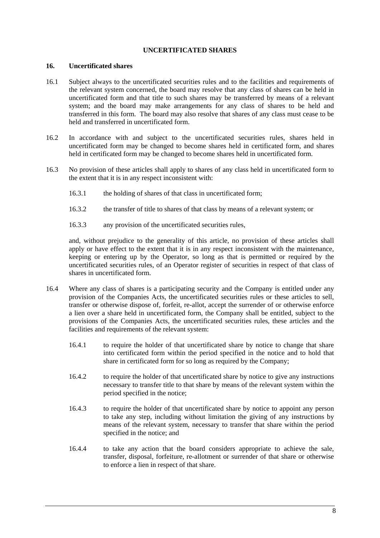## **UNCERTIFICATED SHARES**

#### **16. Uncertificated shares**

- 16.1 Subject always to the uncertificated securities rules and to the facilities and requirements of the relevant system concerned, the board may resolve that any class of shares can be held in uncertificated form and that title to such shares may be transferred by means of a relevant system; and the board may make arrangements for any class of shares to be held and transferred in this form. The board may also resolve that shares of any class must cease to be held and transferred in uncertificated form.
- 16.2 In accordance with and subject to the uncertificated securities rules, shares held in uncertificated form may be changed to become shares held in certificated form, and shares held in certificated form may be changed to become shares held in uncertificated form.
- 16.3 No provision of these articles shall apply to shares of any class held in uncertificated form to the extent that it is in any respect inconsistent with:
	- 16.3.1 the holding of shares of that class in uncertificated form;
	- 16.3.2 the transfer of title to shares of that class by means of a relevant system; or
	- 16.3.3 any provision of the uncertificated securities rules,

and, without prejudice to the generality of this article, no provision of these articles shall apply or have effect to the extent that it is in any respect inconsistent with the maintenance, keeping or entering up by the Operator, so long as that is permitted or required by the uncertificated securities rules, of an Operator register of securities in respect of that class of shares in uncertificated form.

- 16.4 Where any class of shares is a participating security and the Company is entitled under any provision of the Companies Acts, the uncertificated securities rules or these articles to sell, transfer or otherwise dispose of, forfeit, re-allot, accept the surrender of or otherwise enforce a lien over a share held in uncertificated form, the Company shall be entitled, subject to the provisions of the Companies Acts, the uncertificated securities rules, these articles and the facilities and requirements of the relevant system:
	- 16.4.1 to require the holder of that uncertificated share by notice to change that share into certificated form within the period specified in the notice and to hold that share in certificated form for so long as required by the Company;
	- 16.4.2 to require the holder of that uncertificated share by notice to give any instructions necessary to transfer title to that share by means of the relevant system within the period specified in the notice;
	- 16.4.3 to require the holder of that uncertificated share by notice to appoint any person to take any step, including without limitation the giving of any instructions by means of the relevant system, necessary to transfer that share within the period specified in the notice; and
	- 16.4.4 to take any action that the board considers appropriate to achieve the sale, transfer, disposal, forfeiture, re-allotment or surrender of that share or otherwise to enforce a lien in respect of that share.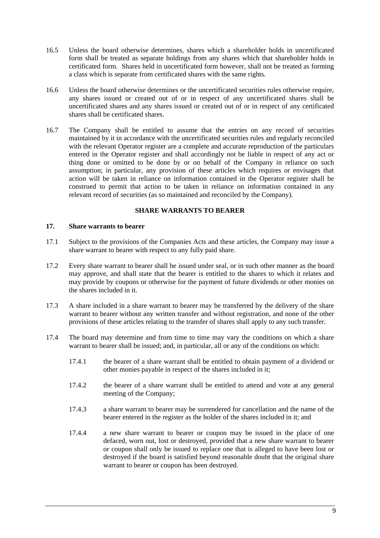- 16.5 Unless the board otherwise determines, shares which a shareholder holds in uncertificated form shall be treated as separate holdings from any shares which that shareholder holds in certificated form. Shares held in uncertificated form however, shall not be treated as forming a class which is separate from certificated shares with the same rights.
- 16.6 Unless the board otherwise determines or the uncertificated securities rules otherwise require, any shares issued or created out of or in respect of any uncertificated shares shall be uncertificated shares and any shares issued or created out of or in respect of any certificated shares shall be certificated shares.
- 16.7 The Company shall be entitled to assume that the entries on any record of securities maintained by it in accordance with the uncertificated securities rules and regularly reconciled with the relevant Operator register are a complete and accurate reproduction of the particulars entered in the Operator register and shall accordingly not be liable in respect of any act or thing done or omitted to be done by or on behalf of the Company in reliance on such assumption; in particular, any provision of these articles which requires or envisages that action will be taken in reliance on information contained in the Operator register shall be construed to permit that action to be taken in reliance on information contained in any relevant record of securities (as so maintained and reconciled by the Company).

## **SHARE WARRANTS TO BEARER**

#### **17. Share warrants to bearer**

- 17.1 Subject to the provisions of the Companies Acts and these articles, the Company may issue a share warrant to bearer with respect to any fully paid share.
- 17.2 Every share warrant to bearer shall be issued under seal, or in such other manner as the board may approve, and shall state that the bearer is entitled to the shares to which it relates and may provide by coupons or otherwise for the payment of future dividends or other monies on the shares included in it.
- 17.3 A share included in a share warrant to bearer may be transferred by the delivery of the share warrant to bearer without any written transfer and without registration, and none of the other provisions of these articles relating to the transfer of shares shall apply to any such transfer.
- 17.4 The board may determine and from time to time may vary the conditions on which a share warrant to bearer shall be issued; and, in particular, all or any of the conditions on which:
	- 17.4.1 the bearer of a share warrant shall be entitled to obtain payment of a dividend or other monies payable in respect of the shares included in it;
	- 17.4.2 the bearer of a share warrant shall be entitled to attend and vote at any general meeting of the Company;
	- 17.4.3 a share warrant to bearer may be surrendered for cancellation and the name of the bearer entered in the register as the holder of the shares included in it; and
	- 17.4.4 a new share warrant to bearer or coupon may be issued in the place of one defaced, worn out, lost or destroyed, provided that a new share warrant to bearer or coupon shall only be issued to replace one that is alleged to have been lost or destroyed if the board is satisfied beyond reasonable doubt that the original share warrant to bearer or coupon has been destroyed.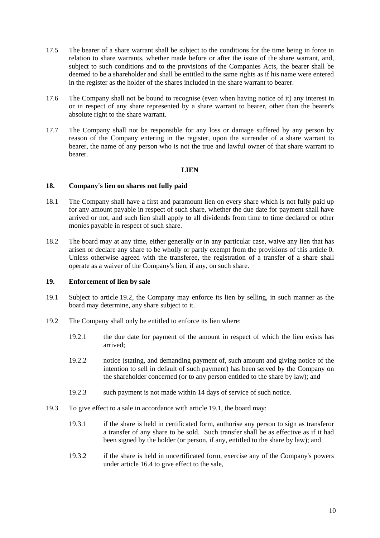- 17.5 The bearer of a share warrant shall be subject to the conditions for the time being in force in relation to share warrants, whether made before or after the issue of the share warrant, and, subject to such conditions and to the provisions of the Companies Acts, the bearer shall be deemed to be a shareholder and shall be entitled to the same rights as if his name were entered in the register as the holder of the shares included in the share warrant to bearer.
- 17.6 The Company shall not be bound to recognise (even when having notice of it) any interest in or in respect of any share represented by a share warrant to bearer, other than the bearer's absolute right to the share warrant.
- 17.7 The Company shall not be responsible for any loss or damage suffered by any person by reason of the Company entering in the register, upon the surrender of a share warrant to bearer, the name of any person who is not the true and lawful owner of that share warrant to bearer.

## **LIEN**

#### **18. Company's lien on shares not fully paid**

- 18.1 The Company shall have a first and paramount lien on every share which is not fully paid up for any amount payable in respect of such share, whether the due date for payment shall have arrived or not, and such lien shall apply to all dividends from time to time declared or other monies payable in respect of such share.
- 18.2 The board may at any time, either generally or in any particular case, waive any lien that has arisen or declare any share to be wholly or partly exempt from the provisions of this article 0. Unless otherwise agreed with the transferee, the registration of a transfer of a share shall operate as a waiver of the Company's lien, if any, on such share.

#### **19. Enforcement of lien by sale**

- 19.1 Subject to article 19.2, the Company may enforce its lien by selling, in such manner as the board may determine, any share subject to it.
- 19.2 The Company shall only be entitled to enforce its lien where:
	- 19.2.1 the due date for payment of the amount in respect of which the lien exists has arrived;
	- 19.2.2 notice (stating, and demanding payment of, such amount and giving notice of the intention to sell in default of such payment) has been served by the Company on the shareholder concerned (or to any person entitled to the share by law); and
	- 19.2.3 such payment is not made within 14 days of service of such notice.
- 19.3 To give effect to a sale in accordance with article 19.1, the board may:
	- 19.3.1 if the share is held in certificated form, authorise any person to sign as transferor a transfer of any share to be sold. Such transfer shall be as effective as if it had been signed by the holder (or person, if any, entitled to the share by law); and
	- 19.3.2 if the share is held in uncertificated form, exercise any of the Company's powers under article 16.4 to give effect to the sale,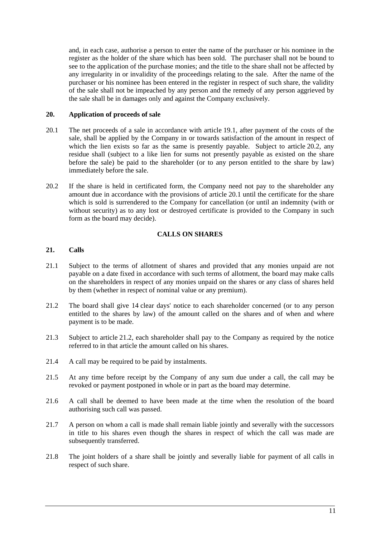and, in each case, authorise a person to enter the name of the purchaser or his nominee in the register as the holder of the share which has been sold. The purchaser shall not be bound to see to the application of the purchase monies; and the title to the share shall not be affected by any irregularity in or invalidity of the proceedings relating to the sale. After the name of the purchaser or his nominee has been entered in the register in respect of such share, the validity of the sale shall not be impeached by any person and the remedy of any person aggrieved by the sale shall be in damages only and against the Company exclusively.

#### **20. Application of proceeds of sale**

- 20.1 The net proceeds of a sale in accordance with article 19.1, after payment of the costs of the sale, shall be applied by the Company in or towards satisfaction of the amount in respect of which the lien exists so far as the same is presently payable. Subject to article 20.2, any residue shall (subject to a like lien for sums not presently payable as existed on the share before the sale) be paid to the shareholder (or to any person entitled to the share by law) immediately before the sale.
- 20.2 If the share is held in certificated form, the Company need not pay to the shareholder any amount due in accordance with the provisions of article 20.1 until the certificate for the share which is sold is surrendered to the Company for cancellation (or until an indemnity (with or without security) as to any lost or destroyed certificate is provided to the Company in such form as the board may decide).

# **CALLS ON SHARES**

#### **21. Calls**

- 21.1 Subject to the terms of allotment of shares and provided that any monies unpaid are not payable on a date fixed in accordance with such terms of allotment, the board may make calls on the shareholders in respect of any monies unpaid on the shares or any class of shares held by them (whether in respect of nominal value or any premium).
- 21.2 The board shall give 14 clear days' notice to each shareholder concerned (or to any person entitled to the shares by law) of the amount called on the shares and of when and where payment is to be made.
- 21.3 Subject to article 21.2, each shareholder shall pay to the Company as required by the notice referred to in that article the amount called on his shares.
- 21.4 A call may be required to be paid by instalments.
- 21.5 At any time before receipt by the Company of any sum due under a call, the call may be revoked or payment postponed in whole or in part as the board may determine.
- 21.6 A call shall be deemed to have been made at the time when the resolution of the board authorising such call was passed.
- 21.7 A person on whom a call is made shall remain liable jointly and severally with the successors in title to his shares even though the shares in respect of which the call was made are subsequently transferred.
- 21.8 The joint holders of a share shall be jointly and severally liable for payment of all calls in respect of such share.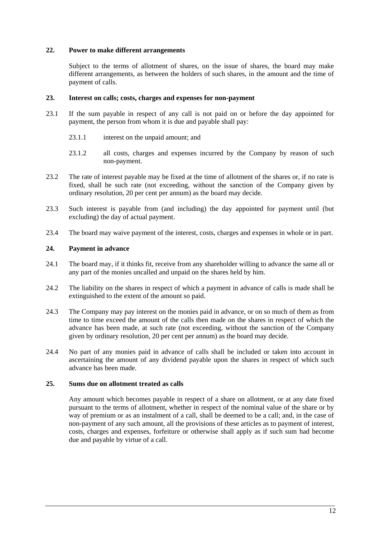#### **22. Power to make different arrangements**

Subject to the terms of allotment of shares, on the issue of shares, the board may make different arrangements, as between the holders of such shares, in the amount and the time of payment of calls.

#### **23. Interest on calls; costs, charges and expenses for non-payment**

- 23.1 If the sum payable in respect of any call is not paid on or before the day appointed for payment, the person from whom it is due and payable shall pay:
	- 23.1.1 interest on the unpaid amount; and
	- 23.1.2 all costs, charges and expenses incurred by the Company by reason of such non-payment.
- 23.2 The rate of interest payable may be fixed at the time of allotment of the shares or, if no rate is fixed, shall be such rate (not exceeding, without the sanction of the Company given by ordinary resolution, 20 per cent per annum) as the board may decide.
- 23.3 Such interest is payable from (and including) the day appointed for payment until (but excluding) the day of actual payment.
- 23.4 The board may waive payment of the interest, costs, charges and expenses in whole or in part.

# **24. Payment in advance**

- 24.1 The board may, if it thinks fit, receive from any shareholder willing to advance the same all or any part of the monies uncalled and unpaid on the shares held by him.
- 24.2 The liability on the shares in respect of which a payment in advance of calls is made shall be extinguished to the extent of the amount so paid.
- 24.3 The Company may pay interest on the monies paid in advance, or on so much of them as from time to time exceed the amount of the calls then made on the shares in respect of which the advance has been made, at such rate (not exceeding, without the sanction of the Company given by ordinary resolution, 20 per cent per annum) as the board may decide.
- 24.4 No part of any monies paid in advance of calls shall be included or taken into account in ascertaining the amount of any dividend payable upon the shares in respect of which such advance has been made.

## **25. Sums due on allotment treated as calls**

Any amount which becomes payable in respect of a share on allotment, or at any date fixed pursuant to the terms of allotment, whether in respect of the nominal value of the share or by way of premium or as an instalment of a call, shall be deemed to be a call; and, in the case of non-payment of any such amount, all the provisions of these articles as to payment of interest, costs, charges and expenses, forfeiture or otherwise shall apply as if such sum had become due and payable by virtue of a call.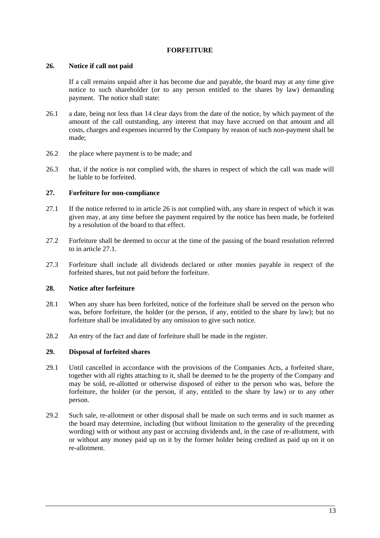#### **FORFEITURE**

#### **26. Notice if call not paid**

If a call remains unpaid after it has become due and payable, the board may at any time give notice to such shareholder (or to any person entitled to the shares by law) demanding payment. The notice shall state:

- 26.1 a date, being not less than 14 clear days from the date of the notice, by which payment of the amount of the call outstanding, any interest that may have accrued on that amount and all costs, charges and expenses incurred by the Company by reason of such non-payment shall be made;
- 26.2 the place where payment is to be made; and
- 26.3 that, if the notice is not complied with, the shares in respect of which the call was made will be liable to be forfeited.

# **27. Forfeiture for non-compliance**

- 27.1 If the notice referred to in article 26 is not complied with, any share in respect of which it was given may, at any time before the payment required by the notice has been made, be forfeited by a resolution of the board to that effect.
- 27.2 Forfeiture shall be deemed to occur at the time of the passing of the board resolution referred to in article 27.1.
- 27.3 Forfeiture shall include all dividends declared or other monies payable in respect of the forfeited shares, but not paid before the forfeiture.

# **28. Notice after forfeiture**

- 28.1 When any share has been forfeited, notice of the forfeiture shall be served on the person who was, before forfeiture, the holder (or the person, if any, entitled to the share by law); but no forfeiture shall be invalidated by any omission to give such notice.
- 28.2 An entry of the fact and date of forfeiture shall be made in the register.

# **29. Disposal of forfeited shares**

- 29.1 Until cancelled in accordance with the provisions of the Companies Acts, a forfeited share, together with all rights attaching to it, shall be deemed to be the property of the Company and may be sold, re-allotted or otherwise disposed of either to the person who was, before the forfeiture, the holder (or the person, if any, entitled to the share by law) or to any other person.
- 29.2 Such sale, re-allotment or other disposal shall be made on such terms and in such manner as the board may determine, including (but without limitation to the generality of the preceding wording) with or without any past or accruing dividends and, in the case of re-allotment, with or without any money paid up on it by the former holder being credited as paid up on it on re-allotment.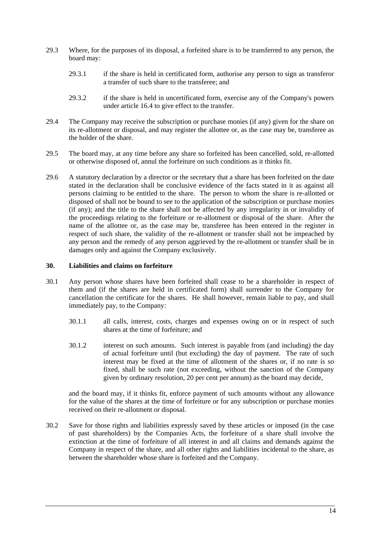- 29.3 Where, for the purposes of its disposal, a forfeited share is to be transferred to any person, the board may:
	- 29.3.1 if the share is held in certificated form, authorise any person to sign as transferor a transfer of such share to the transferee; and
	- 29.3.2 if the share is held in uncertificated form, exercise any of the Company's powers under article 16.4 to give effect to the transfer.
- 29.4 The Company may receive the subscription or purchase monies (if any) given for the share on its re-allotment or disposal, and may register the allottee or, as the case may be, transferee as the holder of the share.
- 29.5 The board may, at any time before any share so forfeited has been cancelled, sold, re-allotted or otherwise disposed of, annul the forfeiture on such conditions as it thinks fit.
- 29.6 A statutory declaration by a director or the secretary that a share has been forfeited on the date stated in the declaration shall be conclusive evidence of the facts stated in it as against all persons claiming to be entitled to the share. The person to whom the share is re-allotted or disposed of shall not be bound to see to the application of the subscription or purchase monies  $(i\hat{f}$  any); and the title to the share shall not be affected by any irregularity in or invalidity of the proceedings relating to the forfeiture or re-allotment or disposal of the share. After the name of the allottee or, as the case may be, transferee has been entered in the register in respect of such share, the validity of the re-allotment or transfer shall not be impeached by any person and the remedy of any person aggrieved by the re-allotment or transfer shall be in damages only and against the Company exclusively.

#### **30. Liabilities and claims on forfeiture**

- 30.1 Any person whose shares have been forfeited shall cease to be a shareholder in respect of them and (if the shares are held in certificated form) shall surrender to the Company for cancellation the certificate for the shares. He shall however, remain liable to pay, and shall immediately pay, to the Company:
	- 30.1.1 all calls, interest, costs, charges and expenses owing on or in respect of such shares at the time of forfeiture; and
	- 30.1.2 interest on such amounts. Such interest is payable from (and including) the day of actual forfeiture until (but excluding) the day of payment. The rate of such interest may be fixed at the time of allotment of the shares or, if no rate is so fixed, shall be such rate (not exceeding, without the sanction of the Company given by ordinary resolution, 20 per cent per annum) as the board may decide,

and the board may, if it thinks fit, enforce payment of such amounts without any allowance for the value of the shares at the time of forfeiture or for any subscription or purchase monies received on their re-allotment or disposal.

30.2 Save for those rights and liabilities expressly saved by these articles or imposed (in the case of past shareholders) by the Companies Acts, the forfeiture of a share shall involve the extinction at the time of forfeiture of all interest in and all claims and demands against the Company in respect of the share, and all other rights and liabilities incidental to the share, as between the shareholder whose share is forfeited and the Company.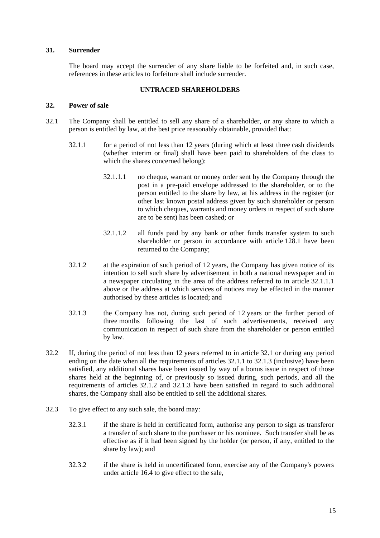#### **31. Surrender**

The board may accept the surrender of any share liable to be forfeited and, in such case, references in these articles to forfeiture shall include surrender.

#### **UNTRACED SHAREHOLDERS**

#### **32. Power of sale**

- 32.1 The Company shall be entitled to sell any share of a shareholder, or any share to which a person is entitled by law, at the best price reasonably obtainable, provided that:
	- 32.1.1 for a period of not less than 12 years (during which at least three cash dividends (whether interim or final) shall have been paid to shareholders of the class to which the shares concerned belong):
		- 32.1.1.1 no cheque, warrant or money order sent by the Company through the post in a pre-paid envelope addressed to the shareholder, or to the person entitled to the share by law, at his address in the register (or other last known postal address given by such shareholder or person to which cheques, warrants and money orders in respect of such share are to be sent) has been cashed; or
		- 32.1.1.2 all funds paid by any bank or other funds transfer system to such shareholder or person in accordance with article 128.1 have been returned to the Company;
	- 32.1.2 at the expiration of such period of 12 years, the Company has given notice of its intention to sell such share by advertisement in both a national newspaper and in a newspaper circulating in the area of the address referred to in article 32.1.1.1 above or the address at which services of notices may be effected in the manner authorised by these articles is located; and
	- 32.1.3 the Company has not, during such period of 12 years or the further period of three months following the last of such advertisements, received any communication in respect of such share from the shareholder or person entitled by law.
- 32.2 If, during the period of not less than 12 years referred to in article 32.1 or during any period ending on the date when all the requirements of articles 32.1.1 to 32.1.3 (inclusive) have been satisfied, any additional shares have been issued by way of a bonus issue in respect of those shares held at the beginning of, or previously so issued during, such periods, and all the requirements of articles 32.1.2 and 32.1.3 have been satisfied in regard to such additional shares, the Company shall also be entitled to sell the additional shares.
- 32.3 To give effect to any such sale, the board may:
	- 32.3.1 if the share is held in certificated form, authorise any person to sign as transferor a transfer of such share to the purchaser or his nominee. Such transfer shall be as effective as if it had been signed by the holder (or person, if any, entitled to the share by law); and
	- 32.3.2 if the share is held in uncertificated form, exercise any of the Company's powers under article 16.4 to give effect to the sale,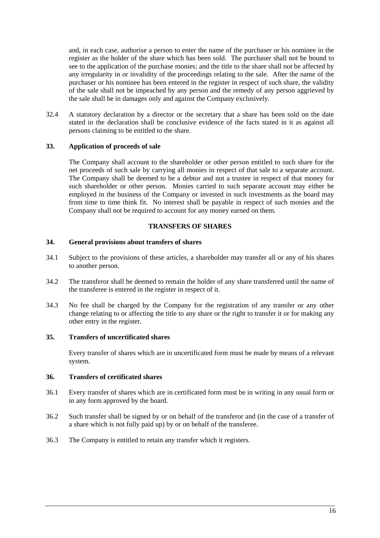and, in each case, authorise a person to enter the name of the purchaser or his nominee in the register as the holder of the share which has been sold. The purchaser shall not be bound to see to the application of the purchase monies; and the title to the share shall not be affected by any irregularity in or invalidity of the proceedings relating to the sale. After the name of the purchaser or his nominee has been entered in the register in respect of such share, the validity of the sale shall not be impeached by any person and the remedy of any person aggrieved by the sale shall be in damages only and against the Company exclusively.

32.4 A statutory declaration by a director or the secretary that a share has been sold on the date stated in the declaration shall be conclusive evidence of the facts stated in it as against all persons claiming to be entitled to the share.

## **33. Application of proceeds of sale**

The Company shall account to the shareholder or other person entitled to such share for the net proceeds of such sale by carrying all monies in respect of that sale to a separate account. The Company shall be deemed to be a debtor and not a trustee in respect of that money for such shareholder or other person. Monies carried to such separate account may either be employed in the business of the Company or invested in such investments as the board may from time to time think fit. No interest shall be payable in respect of such monies and the Company shall not be required to account for any money earned on them.

#### **TRANSFERS OF SHARES**

#### **34. General provisions about transfers of shares**

- 34.1 Subject to the provisions of these articles, a shareholder may transfer all or any of his shares to another person.
- 34.2 The transferor shall be deemed to remain the holder of any share transferred until the name of the transferee is entered in the register in respect of it.
- 34.3 No fee shall be charged by the Company for the registration of any transfer or any other change relating to or affecting the title to any share or the right to transfer it or for making any other entry in the register.

#### **35. Transfers of uncertificated shares**

Every transfer of shares which are in uncertificated form must be made by means of a relevant system.

#### **36. Transfers of certificated shares**

- 36.1 Every transfer of shares which are in certificated form must be in writing in any usual form or in any form approved by the board.
- 36.2 Such transfer shall be signed by or on behalf of the transferor and (in the case of a transfer of a share which is not fully paid up) by or on behalf of the transferee.
- 36.3 The Company is entitled to retain any transfer which it registers.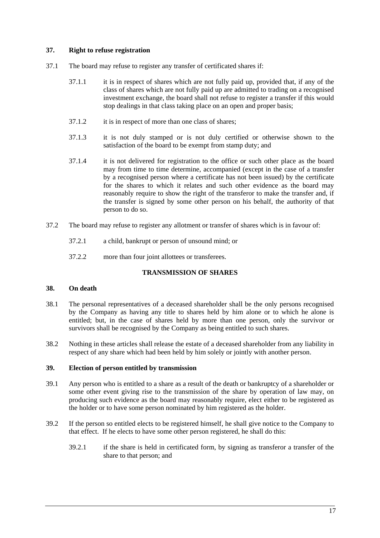## **37. Right to refuse registration**

- 37.1 The board may refuse to register any transfer of certificated shares if:
	- 37.1.1 it is in respect of shares which are not fully paid up, provided that, if any of the class of shares which are not fully paid up are admitted to trading on a recognised investment exchange, the board shall not refuse to register a transfer if this would stop dealings in that class taking place on an open and proper basis;
	- 37.1.2 it is in respect of more than one class of shares;
	- 37.1.3 it is not duly stamped or is not duly certified or otherwise shown to the satisfaction of the board to be exempt from stamp duty; and
	- 37.1.4 it is not delivered for registration to the office or such other place as the board may from time to time determine, accompanied (except in the case of a transfer by a recognised person where a certificate has not been issued) by the certificate for the shares to which it relates and such other evidence as the board may reasonably require to show the right of the transferor to make the transfer and, if the transfer is signed by some other person on his behalf, the authority of that person to do so.
- 37.2 The board may refuse to register any allotment or transfer of shares which is in favour of:
	- 37.2.1 a child, bankrupt or person of unsound mind; or
	- 37.2.2 more than four joint allottees or transferees.

# **TRANSMISSION OF SHARES**

#### **38. On death**

- 38.1 The personal representatives of a deceased shareholder shall be the only persons recognised by the Company as having any title to shares held by him alone or to which he alone is entitled; but, in the case of shares held by more than one person, only the survivor or survivors shall be recognised by the Company as being entitled to such shares.
- 38.2 Nothing in these articles shall release the estate of a deceased shareholder from any liability in respect of any share which had been held by him solely or jointly with another person.

#### **39. Election of person entitled by transmission**

- 39.1 Any person who is entitled to a share as a result of the death or bankruptcy of a shareholder or some other event giving rise to the transmission of the share by operation of law may, on producing such evidence as the board may reasonably require, elect either to be registered as the holder or to have some person nominated by him registered as the holder.
- 39.2 If the person so entitled elects to be registered himself, he shall give notice to the Company to that effect. If he elects to have some other person registered, he shall do this:
	- 39.2.1 if the share is held in certificated form, by signing as transferor a transfer of the share to that person; and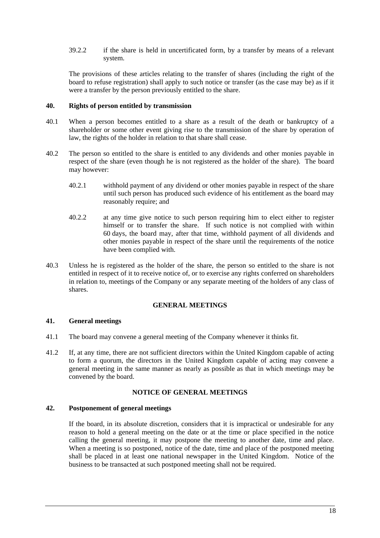39.2.2 if the share is held in uncertificated form, by a transfer by means of a relevant system.

The provisions of these articles relating to the transfer of shares (including the right of the board to refuse registration) shall apply to such notice or transfer (as the case may be) as if it were a transfer by the person previously entitled to the share.

#### **40. Rights of person entitled by transmission**

- 40.1 When a person becomes entitled to a share as a result of the death or bankruptcy of a shareholder or some other event giving rise to the transmission of the share by operation of law, the rights of the holder in relation to that share shall cease.
- 40.2 The person so entitled to the share is entitled to any dividends and other monies payable in respect of the share (even though he is not registered as the holder of the share). The board may however:
	- 40.2.1 withhold payment of any dividend or other monies payable in respect of the share until such person has produced such evidence of his entitlement as the board may reasonably require; and
	- 40.2.2 at any time give notice to such person requiring him to elect either to register himself or to transfer the share. If such notice is not complied with within 60 days, the board may, after that time, withhold payment of all dividends and other monies payable in respect of the share until the requirements of the notice have been complied with.
- 40.3 Unless he is registered as the holder of the share, the person so entitled to the share is not entitled in respect of it to receive notice of, or to exercise any rights conferred on shareholders in relation to, meetings of the Company or any separate meeting of the holders of any class of shares.

#### **GENERAL MEETINGS**

#### **41. General meetings**

- 41.1 The board may convene a general meeting of the Company whenever it thinks fit.
- 41.2 If, at any time, there are not sufficient directors within the United Kingdom capable of acting to form a quorum, the directors in the United Kingdom capable of acting may convene a general meeting in the same manner as nearly as possible as that in which meetings may be convened by the board.

## **NOTICE OF GENERAL MEETINGS**

#### **42. Postponement of general meetings**

If the board, in its absolute discretion, considers that it is impractical or undesirable for any reason to hold a general meeting on the date or at the time or place specified in the notice calling the general meeting, it may postpone the meeting to another date, time and place. When a meeting is so postponed, notice of the date, time and place of the postponed meeting shall be placed in at least one national newspaper in the United Kingdom. Notice of the business to be transacted at such postponed meeting shall not be required.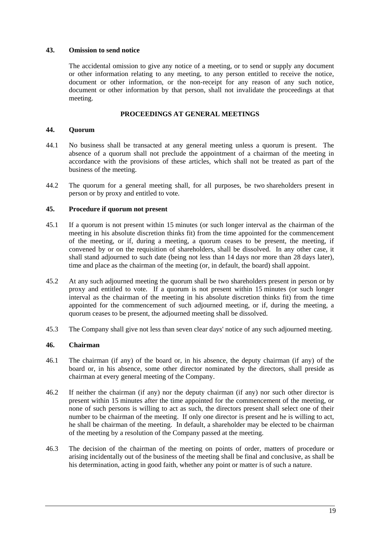#### **43. Omission to send notice**

The accidental omission to give any notice of a meeting, or to send or supply any document or other information relating to any meeting, to any person entitled to receive the notice, document or other information, or the non-receipt for any reason of any such notice, document or other information by that person, shall not invalidate the proceedings at that meeting.

## **PROCEEDINGS AT GENERAL MEETINGS**

#### **44. Quorum**

- 44.1 No business shall be transacted at any general meeting unless a quorum is present. The absence of a quorum shall not preclude the appointment of a chairman of the meeting in accordance with the provisions of these articles, which shall not be treated as part of the business of the meeting.
- 44.2 The quorum for a general meeting shall, for all purposes, be two shareholders present in person or by proxy and entitled to vote.

## **45. Procedure if quorum not present**

- 45.1 If a quorum is not present within 15 minutes (or such longer interval as the chairman of the meeting in his absolute discretion thinks fit) from the time appointed for the commencement of the meeting, or if, during a meeting, a quorum ceases to be present, the meeting, if convened by or on the requisition of shareholders, shall be dissolved. In any other case, it shall stand adjourned to such date (being not less than 14 days nor more than 28 days later), time and place as the chairman of the meeting (or, in default, the board) shall appoint.
- 45.2 At any such adjourned meeting the quorum shall be two shareholders present in person or by proxy and entitled to vote. If a quorum is not present within 15 minutes (or such longer interval as the chairman of the meeting in his absolute discretion thinks fit) from the time appointed for the commencement of such adjourned meeting, or if, during the meeting, a quorum ceases to be present, the adjourned meeting shall be dissolved.
- 45.3 The Company shall give not less than seven clear days' notice of any such adjourned meeting.

# **46. Chairman**

- 46.1 The chairman (if any) of the board or, in his absence, the deputy chairman (if any) of the board or, in his absence, some other director nominated by the directors, shall preside as chairman at every general meeting of the Company.
- 46.2 If neither the chairman (if any) nor the deputy chairman (if any) nor such other director is present within 15 minutes after the time appointed for the commencement of the meeting, or none of such persons is willing to act as such, the directors present shall select one of their number to be chairman of the meeting. If only one director is present and he is willing to act, he shall be chairman of the meeting. In default, a shareholder may be elected to be chairman of the meeting by a resolution of the Company passed at the meeting.
- 46.3 The decision of the chairman of the meeting on points of order, matters of procedure or arising incidentally out of the business of the meeting shall be final and conclusive, as shall be his determination, acting in good faith, whether any point or matter is of such a nature.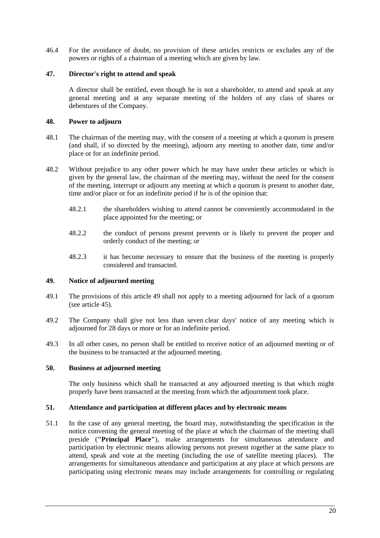46.4 For the avoidance of doubt, no provision of these articles restricts or excludes any of the powers or rights of a chairman of a meeting which are given by law.

## **47. Director's right to attend and speak**

A director shall be entitled, even though he is not a shareholder, to attend and speak at any general meeting and at any separate meeting of the holders of any class of shares or debentures of the Company.

## **48. Power to adjourn**

- 48.1 The chairman of the meeting may, with the consent of a meeting at which a quorum is present (and shall, if so directed by the meeting), adjourn any meeting to another date, time and/or place or for an indefinite period.
- 48.2 Without prejudice to any other power which he may have under these articles or which is given by the general law, the chairman of the meeting may, without the need for the consent of the meeting, interrupt or adjourn any meeting at which a quorum is present to another date, time and/or place or for an indefinite period if he is of the opinion that:
	- 48.2.1 the shareholders wishing to attend cannot be conveniently accommodated in the place appointed for the meeting; or
	- 48.2.2 the conduct of persons present prevents or is likely to prevent the proper and orderly conduct of the meeting; or
	- 48.2.3 it has become necessary to ensure that the business of the meeting is properly considered and transacted.

#### **49. Notice of adjourned meeting**

- 49.1 The provisions of this article 49 shall not apply to a meeting adjourned for lack of a quorum (see article 45).
- 49.2 The Company shall give not less than seven clear days' notice of any meeting which is adjourned for 28 days or more or for an indefinite period.
- 49.3 In all other cases, no person shall be entitled to receive notice of an adjourned meeting or of the business to be transacted at the adjourned meeting.

## **50. Business at adjourned meeting**

The only business which shall be transacted at any adjourned meeting is that which might properly have been transacted at the meeting from which the adjournment took place.

#### **51. Attendance and participation at different places and by electronic means**

51.1 In the case of any general meeting, the board may, notwithstanding the specification in the notice convening the general meeting of the place at which the chairman of the meeting shall preside (**"Principal Place"**), make arrangements for simultaneous attendance and participation by electronic means allowing persons not present together at the same place to attend, speak and vote at the meeting (including the use of satellite meeting places). The arrangements for simultaneous attendance and participation at any place at which persons are participating using electronic means may include arrangements for controlling or regulating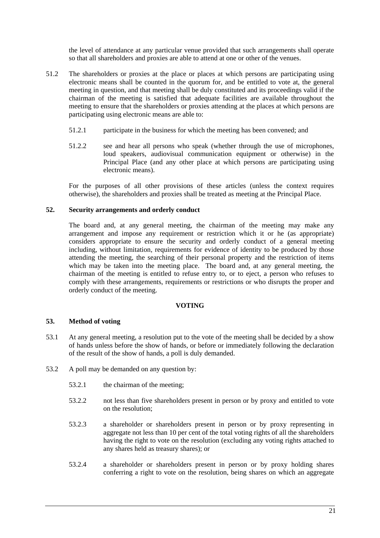the level of attendance at any particular venue provided that such arrangements shall operate so that all shareholders and proxies are able to attend at one or other of the venues.

- 51.2 The shareholders or proxies at the place or places at which persons are participating using electronic means shall be counted in the quorum for, and be entitled to vote at, the general meeting in question, and that meeting shall be duly constituted and its proceedings valid if the chairman of the meeting is satisfied that adequate facilities are available throughout the meeting to ensure that the shareholders or proxies attending at the places at which persons are participating using electronic means are able to:
	- 51.2.1 participate in the business for which the meeting has been convened; and
	- 51.2.2 see and hear all persons who speak (whether through the use of microphones, loud speakers, audiovisual communication equipment or otherwise) in the Principal Place (and any other place at which persons are participating using electronic means).

For the purposes of all other provisions of these articles (unless the context requires otherwise), the shareholders and proxies shall be treated as meeting at the Principal Place.

## **52. Security arrangements and orderly conduct**

The board and, at any general meeting, the chairman of the meeting may make any arrangement and impose any requirement or restriction which it or he (as appropriate) considers appropriate to ensure the security and orderly conduct of a general meeting including, without limitation, requirements for evidence of identity to be produced by those attending the meeting, the searching of their personal property and the restriction of items which may be taken into the meeting place. The board and, at any general meeting, the chairman of the meeting is entitled to refuse entry to, or to eject, a person who refuses to comply with these arrangements, requirements or restrictions or who disrupts the proper and orderly conduct of the meeting.

## **VOTING**

#### **53. Method of voting**

- 53.1 At any general meeting, a resolution put to the vote of the meeting shall be decided by a show of hands unless before the show of hands, or before or immediately following the declaration of the result of the show of hands, a poll is duly demanded.
- 53.2 A poll may be demanded on any question by:
	- 53.2.1 the chairman of the meeting;
	- 53.2.2 not less than five shareholders present in person or by proxy and entitled to vote on the resolution;
	- 53.2.3 a shareholder or shareholders present in person or by proxy representing in aggregate not less than 10 per cent of the total voting rights of all the shareholders having the right to vote on the resolution (excluding any voting rights attached to any shares held as treasury shares); or
	- 53.2.4 a shareholder or shareholders present in person or by proxy holding shares conferring a right to vote on the resolution, being shares on which an aggregate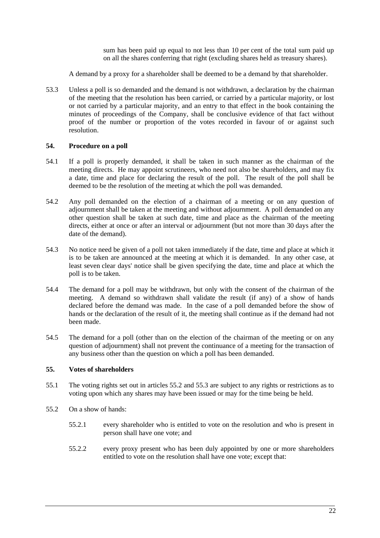sum has been paid up equal to not less than 10 per cent of the total sum paid up on all the shares conferring that right (excluding shares held as treasury shares).

A demand by a proxy for a shareholder shall be deemed to be a demand by that shareholder.

53.3 Unless a poll is so demanded and the demand is not withdrawn, a declaration by the chairman of the meeting that the resolution has been carried, or carried by a particular majority, or lost or not carried by a particular majority, and an entry to that effect in the book containing the minutes of proceedings of the Company, shall be conclusive evidence of that fact without proof of the number or proportion of the votes recorded in favour of or against such resolution.

#### **54. Procedure on a poll**

- 54.1 If a poll is properly demanded, it shall be taken in such manner as the chairman of the meeting directs. He may appoint scrutineers, who need not also be shareholders, and may fix a date, time and place for declaring the result of the poll. The result of the poll shall be deemed to be the resolution of the meeting at which the poll was demanded.
- 54.2 Any poll demanded on the election of a chairman of a meeting or on any question of adjournment shall be taken at the meeting and without adjournment. A poll demanded on any other question shall be taken at such date, time and place as the chairman of the meeting directs, either at once or after an interval or adjournment (but not more than 30 days after the date of the demand).
- 54.3 No notice need be given of a poll not taken immediately if the date, time and place at which it is to be taken are announced at the meeting at which it is demanded. In any other case, at least seven clear days' notice shall be given specifying the date, time and place at which the poll is to be taken.
- 54.4 The demand for a poll may be withdrawn, but only with the consent of the chairman of the meeting. A demand so withdrawn shall validate the result (if any) of a show of hands declared before the demand was made. In the case of a poll demanded before the show of hands or the declaration of the result of it, the meeting shall continue as if the demand had not been made.
- 54.5 The demand for a poll (other than on the election of the chairman of the meeting or on any question of adjournment) shall not prevent the continuance of a meeting for the transaction of any business other than the question on which a poll has been demanded.

#### **55. Votes of shareholders**

- 55.1 The voting rights set out in articles 55.2 and 55.3 are subject to any rights or restrictions as to voting upon which any shares may have been issued or may for the time being be held.
- 55.2 On a show of hands:
	- 55.2.1 every shareholder who is entitled to vote on the resolution and who is present in person shall have one vote; and
	- 55.2.2 every proxy present who has been duly appointed by one or more shareholders entitled to vote on the resolution shall have one vote; except that: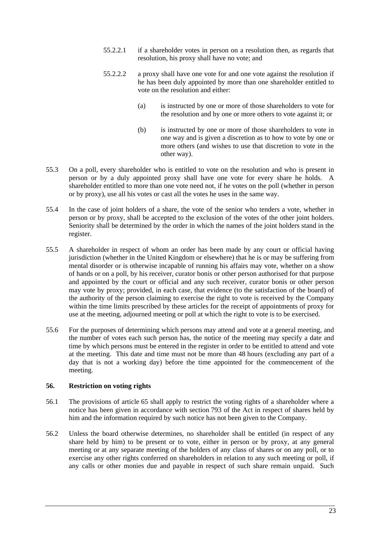- 55.2.2.1 if a shareholder votes in person on a resolution then, as regards that resolution, his proxy shall have no vote; and
- 55.2.2.2 a proxy shall have one vote for and one vote against the resolution if he has been duly appointed by more than one shareholder entitled to vote on the resolution and either:
	- (a) is instructed by one or more of those shareholders to vote for the resolution and by one or more others to vote against it; or
	- (b) is instructed by one or more of those shareholders to vote in one way and is given a discretion as to how to vote by one or more others (and wishes to use that discretion to vote in the other way).
- 55.3 On a poll, every shareholder who is entitled to vote on the resolution and who is present in person or by a duly appointed proxy shall have one vote for every share he holds. A shareholder entitled to more than one vote need not, if he votes on the poll (whether in person or by proxy), use all his votes or cast all the votes he uses in the same way.
- 55.4 In the case of joint holders of a share, the vote of the senior who tenders a vote, whether in person or by proxy, shall be accepted to the exclusion of the votes of the other joint holders. Seniority shall be determined by the order in which the names of the joint holders stand in the register.
- 55.5 A shareholder in respect of whom an order has been made by any court or official having jurisdiction (whether in the United Kingdom or elsewhere) that he is or may be suffering from mental disorder or is otherwise incapable of running his affairs may vote, whether on a show of hands or on a poll, by his receiver, curator bonis or other person authorised for that purpose and appointed by the court or official and any such receiver, curator bonis or other person may vote by proxy; provided, in each case, that evidence (to the satisfaction of the board) of the authority of the person claiming to exercise the right to vote is received by the Company within the time limits prescribed by these articles for the receipt of appointments of proxy for use at the meeting, adjourned meeting or poll at which the right to vote is to be exercised.
- 55.6 For the purposes of determining which persons may attend and vote at a general meeting, and the number of votes each such person has, the notice of the meeting may specify a date and time by which persons must be entered in the register in order to be entitled to attend and vote at the meeting. This date and time must not be more than 48 hours (excluding any part of a day that is not a working day) before the time appointed for the commencement of the meeting.

#### **56. Restriction on voting rights**

- 56.1 The provisions of article 65 shall apply to restrict the voting rights of a shareholder where a notice has been given in accordance with section 793 of the Act in respect of shares held by him and the information required by such notice has not been given to the Company.
- 56.2 Unless the board otherwise determines, no shareholder shall be entitled (in respect of any share held by him) to be present or to vote, either in person or by proxy, at any general meeting or at any separate meeting of the holders of any class of shares or on any poll, or to exercise any other rights conferred on shareholders in relation to any such meeting or poll, if any calls or other monies due and payable in respect of such share remain unpaid. Such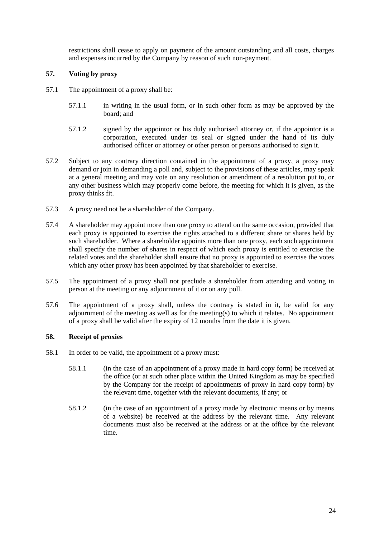restrictions shall cease to apply on payment of the amount outstanding and all costs, charges and expenses incurred by the Company by reason of such non-payment.

## **57. Voting by proxy**

- 57.1 The appointment of a proxy shall be:
	- 57.1.1 in writing in the usual form, or in such other form as may be approved by the board; and
	- 57.1.2 signed by the appointor or his duly authorised attorney or, if the appointor is a corporation, executed under its seal or signed under the hand of its duly authorised officer or attorney or other person or persons authorised to sign it.
- 57.2 Subject to any contrary direction contained in the appointment of a proxy, a proxy may demand or join in demanding a poll and, subject to the provisions of these articles, may speak at a general meeting and may vote on any resolution or amendment of a resolution put to, or any other business which may properly come before, the meeting for which it is given, as the proxy thinks fit.
- 57.3 A proxy need not be a shareholder of the Company.
- 57.4 A shareholder may appoint more than one proxy to attend on the same occasion, provided that each proxy is appointed to exercise the rights attached to a different share or shares held by such shareholder. Where a shareholder appoints more than one proxy, each such appointment shall specify the number of shares in respect of which each proxy is entitled to exercise the related votes and the shareholder shall ensure that no proxy is appointed to exercise the votes which any other proxy has been appointed by that shareholder to exercise.
- 57.5 The appointment of a proxy shall not preclude a shareholder from attending and voting in person at the meeting or any adjournment of it or on any poll.
- 57.6 The appointment of a proxy shall, unless the contrary is stated in it, be valid for any adjournment of the meeting as well as for the meeting(s) to which it relates. No appointment of a proxy shall be valid after the expiry of 12 months from the date it is given.

# **58. Receipt of proxies**

- 58.1 In order to be valid, the appointment of a proxy must:
	- 58.1.1 (in the case of an appointment of a proxy made in hard copy form) be received at the office (or at such other place within the United Kingdom as may be specified by the Company for the receipt of appointments of proxy in hard copy form) by the relevant time, together with the relevant documents, if any; or
	- 58.1.2 (in the case of an appointment of a proxy made by electronic means or by means of a website) be received at the address by the relevant time. Any relevant documents must also be received at the address or at the office by the relevant time.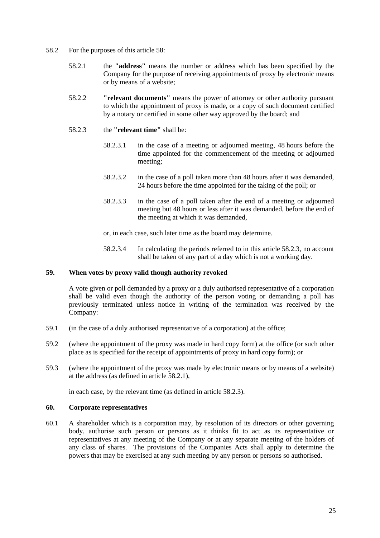- 58.2 For the purposes of this article 58:
	- 58.2.1 the **"address"** means the number or address which has been specified by the Company for the purpose of receiving appointments of proxy by electronic means or by means of a website;
	- 58.2.2 **"relevant documents"** means the power of attorney or other authority pursuant to which the appointment of proxy is made, or a copy of such document certified by a notary or certified in some other way approved by the board; and
	- 58.2.3 the **"relevant time"** shall be:
		- 58.2.3.1 in the case of a meeting or adjourned meeting, 48 hours before the time appointed for the commencement of the meeting or adjourned meeting;
		- 58.2.3.2 in the case of a poll taken more than 48 hours after it was demanded, 24 hours before the time appointed for the taking of the poll; or
		- 58.2.3.3 in the case of a poll taken after the end of a meeting or adjourned meeting but 48 hours or less after it was demanded, before the end of the meeting at which it was demanded,

or, in each case, such later time as the board may determine.

58.2.3.4 In calculating the periods referred to in this article 58.2.3, no account shall be taken of any part of a day which is not a working day.

#### **59. When votes by proxy valid though authority revoked**

A vote given or poll demanded by a proxy or a duly authorised representative of a corporation shall be valid even though the authority of the person voting or demanding a poll has previously terminated unless notice in writing of the termination was received by the Company:

- 59.1 (in the case of a duly authorised representative of a corporation) at the office;
- 59.2 (where the appointment of the proxy was made in hard copy form) at the office (or such other place as is specified for the receipt of appointments of proxy in hard copy form); or
- 59.3 (where the appointment of the proxy was made by electronic means or by means of a website) at the address (as defined in article 58.2.1),

in each case, by the relevant time (as defined in article 58.2.3).

#### **60. Corporate representatives**

60.1 A shareholder which is a corporation may, by resolution of its directors or other governing body, authorise such person or persons as it thinks fit to act as its representative or representatives at any meeting of the Company or at any separate meeting of the holders of any class of shares. The provisions of the Companies Acts shall apply to determine the powers that may be exercised at any such meeting by any person or persons so authorised.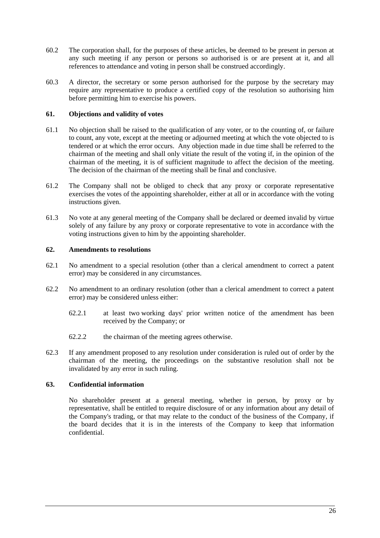- 60.2 The corporation shall, for the purposes of these articles, be deemed to be present in person at any such meeting if any person or persons so authorised is or are present at it, and all references to attendance and voting in person shall be construed accordingly.
- 60.3 A director, the secretary or some person authorised for the purpose by the secretary may require any representative to produce a certified copy of the resolution so authorising him before permitting him to exercise his powers.

#### **61. Objections and validity of votes**

- 61.1 No objection shall be raised to the qualification of any voter, or to the counting of, or failure to count, any vote, except at the meeting or adjourned meeting at which the vote objected to is tendered or at which the error occurs. Any objection made in due time shall be referred to the chairman of the meeting and shall only vitiate the result of the voting if, in the opinion of the chairman of the meeting, it is of sufficient magnitude to affect the decision of the meeting. The decision of the chairman of the meeting shall be final and conclusive.
- 61.2 The Company shall not be obliged to check that any proxy or corporate representative exercises the votes of the appointing shareholder, either at all or in accordance with the voting instructions given.
- 61.3 No vote at any general meeting of the Company shall be declared or deemed invalid by virtue solely of any failure by any proxy or corporate representative to vote in accordance with the voting instructions given to him by the appointing shareholder.

## **62. Amendments to resolutions**

- 62.1 No amendment to a special resolution (other than a clerical amendment to correct a patent error) may be considered in any circumstances.
- 62.2 No amendment to an ordinary resolution (other than a clerical amendment to correct a patent error) may be considered unless either:
	- 62.2.1 at least two working days' prior written notice of the amendment has been received by the Company; or
	- 62.2.2 the chairman of the meeting agrees otherwise.
- 62.3 If any amendment proposed to any resolution under consideration is ruled out of order by the chairman of the meeting, the proceedings on the substantive resolution shall not be invalidated by any error in such ruling.

#### **63. Confidential information**

No shareholder present at a general meeting, whether in person, by proxy or by representative, shall be entitled to require disclosure of or any information about any detail of the Company's trading, or that may relate to the conduct of the business of the Company, if the board decides that it is in the interests of the Company to keep that information confidential.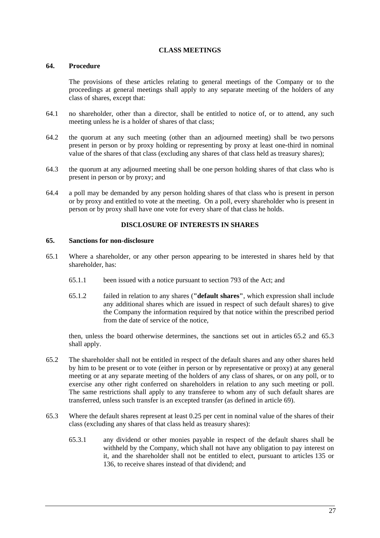## **CLASS MEETINGS**

## **64. Procedure**

The provisions of these articles relating to general meetings of the Company or to the proceedings at general meetings shall apply to any separate meeting of the holders of any class of shares, except that:

- 64.1 no shareholder, other than a director, shall be entitled to notice of, or to attend, any such meeting unless he is a holder of shares of that class;
- 64.2 the quorum at any such meeting (other than an adjourned meeting) shall be two persons present in person or by proxy holding or representing by proxy at least one-third in nominal value of the shares of that class (excluding any shares of that class held as treasury shares);
- 64.3 the quorum at any adjourned meeting shall be one person holding shares of that class who is present in person or by proxy; and
- 64.4 a poll may be demanded by any person holding shares of that class who is present in person or by proxy and entitled to vote at the meeting. On a poll, every shareholder who is present in person or by proxy shall have one vote for every share of that class he holds.

# **DISCLOSURE OF INTERESTS IN SHARES**

## **65. Sanctions for non-disclosure**

- 65.1 Where a shareholder, or any other person appearing to be interested in shares held by that shareholder, has:
	- 65.1.1 been issued with a notice pursuant to section 793 of the Act; and
	- 65.1.2 failed in relation to any shares (**"default shares"**, which expression shall include any additional shares which are issued in respect of such default shares) to give the Company the information required by that notice within the prescribed period from the date of service of the notice,

then, unless the board otherwise determines, the sanctions set out in articles 65.2 and 65.3 shall apply.

- 65.2 The shareholder shall not be entitled in respect of the default shares and any other shares held by him to be present or to vote (either in person or by representative or proxy) at any general meeting or at any separate meeting of the holders of any class of shares, or on any poll, or to exercise any other right conferred on shareholders in relation to any such meeting or poll. The same restrictions shall apply to any transferee to whom any of such default shares are transferred, unless such transfer is an excepted transfer (as defined in article 69).
- 65.3 Where the default shares represent at least 0.25 per cent in nominal value of the shares of their class (excluding any shares of that class held as treasury shares):
	- 65.3.1 any dividend or other monies payable in respect of the default shares shall be withheld by the Company, which shall not have any obligation to pay interest on it, and the shareholder shall not be entitled to elect, pursuant to articles 135 or 136, to receive shares instead of that dividend; and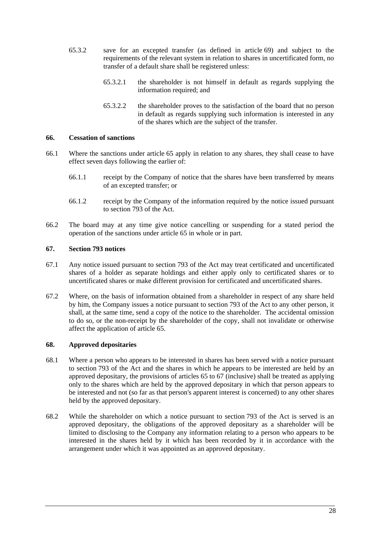- 65.3.2 save for an excepted transfer (as defined in article 69) and subject to the requirements of the relevant system in relation to shares in uncertificated form, no transfer of a default share shall be registered unless:
	- 65.3.2.1 the shareholder is not himself in default as regards supplying the information required; and
	- 65.3.2.2 the shareholder proves to the satisfaction of the board that no person in default as regards supplying such information is interested in any of the shares which are the subject of the transfer.

# **66. Cessation of sanctions**

- 66.1 Where the sanctions under article 65 apply in relation to any shares, they shall cease to have effect seven days following the earlier of:
	- 66.1.1 receipt by the Company of notice that the shares have been transferred by means of an excepted transfer; or
	- 66.1.2 receipt by the Company of the information required by the notice issued pursuant to section 793 of the Act.
- 66.2 The board may at any time give notice cancelling or suspending for a stated period the operation of the sanctions under article 65 in whole or in part.

# **67. Section 793 notices**

- 67.1 Any notice issued pursuant to section 793 of the Act may treat certificated and uncertificated shares of a holder as separate holdings and either apply only to certificated shares or to uncertificated shares or make different provision for certificated and uncertificated shares.
- 67.2 Where, on the basis of information obtained from a shareholder in respect of any share held by him, the Company issues a notice pursuant to section 793 of the Act to any other person, it shall, at the same time, send a copy of the notice to the shareholder. The accidental omission to do so, or the non-receipt by the shareholder of the copy, shall not invalidate or otherwise affect the application of article 65.

## **68. Approved depositaries**

- 68.1 Where a person who appears to be interested in shares has been served with a notice pursuant to section 793 of the Act and the shares in which he appears to be interested are held by an approved depositary, the provisions of articles 65 to 67 (inclusive) shall be treated as applying only to the shares which are held by the approved depositary in which that person appears to be interested and not (so far as that person's apparent interest is concerned) to any other shares held by the approved depositary.
- 68.2 While the shareholder on which a notice pursuant to section 793 of the Act is served is an approved depositary, the obligations of the approved depositary as a shareholder will be limited to disclosing to the Company any information relating to a person who appears to be interested in the shares held by it which has been recorded by it in accordance with the arrangement under which it was appointed as an approved depositary.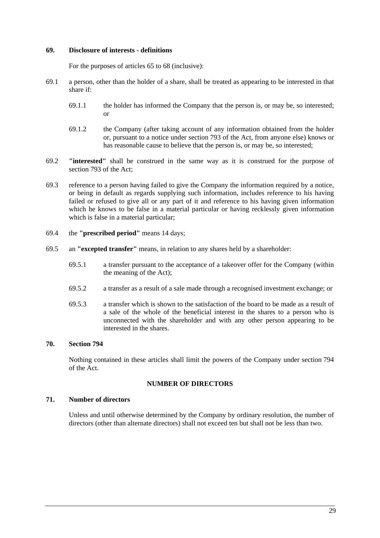#### **69. Disclosure of interests - definitions**

For the purposes of articles 65 to 68 (inclusive):

- 69.1 a person, other than the holder of a share, shall be treated as appearing to be interested in that share if:
	- 69.1.1 the holder has informed the Company that the person is, or may be, so interested; or
	- 69.1.2 the Company (after taking account of any information obtained from the holder or, pursuant to a notice under section 793 of the Act, from anyone else) knows or has reasonable cause to believe that the person is, or may be, so interested;
- 69.2 **"interested"** shall be construed in the same way as it is construed for the purpose of section 793 of the Act;
- 69.3 reference to a person having failed to give the Company the information required by a notice, or being in default as regards supplying such information, includes reference to his having failed or refused to give all or any part of it and reference to his having given information which he knows to be false in a material particular or having recklessly given information which is false in a material particular:
- 69.4 the **"prescribed period"** means 14 days;
- 69.5 an **"excepted transfer"** means, in relation to any shares held by a shareholder:
	- 69.5.1 a transfer pursuant to the acceptance of a takeover offer for the Company (within the meaning of the Act);
	- 69.5.2 a transfer as a result of a sale made through a recognised investment exchange; or
	- 69.5.3 a transfer which is shown to the satisfaction of the board to be made as a result of a sale of the whole of the beneficial interest in the shares to a person who is unconnected with the shareholder and with any other person appearing to be interested in the shares.

## **70. Section 794**

Nothing contained in these articles shall limit the powers of the Company under section 794 of the Act.

## **NUMBER OF DIRECTORS**

## **71. Number of directors**

Unless and until otherwise determined by the Company by ordinary resolution, the number of directors (other than alternate directors) shall not exceed ten but shall not be less than two.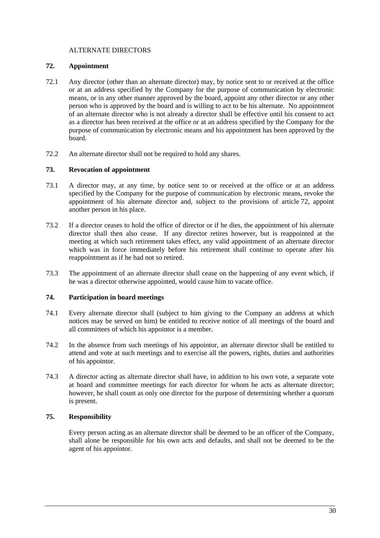## ALTERNATE DIRECTORS

# **72. Appointment**

- 72.1 Any director (other than an alternate director) may, by notice sent to or received at the office or at an address specified by the Company for the purpose of communication by electronic means, or in any other manner approved by the board, appoint any other director or any other person who is approved by the board and is willing to act to be his alternate. No appointment of an alternate director who is not already a director shall be effective until his consent to act as a director has been received at the office or at an address specified by the Company for the purpose of communication by electronic means and his appointment has been approved by the board.
- 72.2 An alternate director shall not be required to hold any shares.

# **73. Revocation of appointment**

- 73.1 A director may, at any time, by notice sent to or received at the office or at an address specified by the Company for the purpose of communication by electronic means, revoke the appointment of his alternate director and, subject to the provisions of article 72, appoint another person in his place.
- 73.2 If a director ceases to hold the office of director or if he dies, the appointment of his alternate director shall then also cease. If any director retires however, but is reappointed at the meeting at which such retirement takes effect, any valid appointment of an alternate director which was in force immediately before his retirement shall continue to operate after his reappointment as if he had not so retired.
- 73.3 The appointment of an alternate director shall cease on the happening of any event which, if he was a director otherwise appointed, would cause him to vacate office.

# **74. Participation in board meetings**

- 74.1 Every alternate director shall (subject to him giving to the Company an address at which notices may be served on him) be entitled to receive notice of all meetings of the board and all committees of which his appointor is a member.
- 74.2 In the absence from such meetings of his appointor, an alternate director shall be entitled to attend and vote at such meetings and to exercise all the powers, rights, duties and authorities of his appointor.
- 74.3 A director acting as alternate director shall have, in addition to his own vote, a separate vote at board and committee meetings for each director for whom he acts as alternate director; however, he shall count as only one director for the purpose of determining whether a quorum is present.

## **75. Responsibility**

Every person acting as an alternate director shall be deemed to be an officer of the Company, shall alone be responsible for his own acts and defaults, and shall not be deemed to be the agent of his appointor.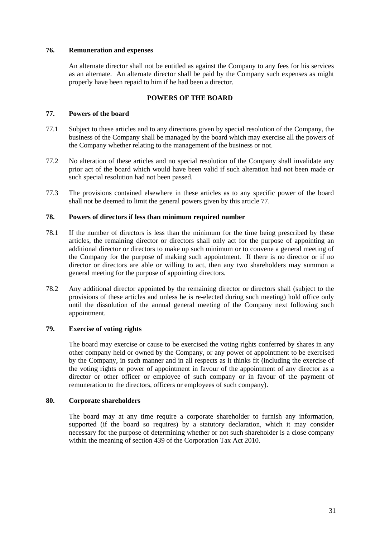## **76. Remuneration and expenses**

An alternate director shall not be entitled as against the Company to any fees for his services as an alternate. An alternate director shall be paid by the Company such expenses as might properly have been repaid to him if he had been a director.

# **POWERS OF THE BOARD**

## **77. Powers of the board**

- 77.1 Subject to these articles and to any directions given by special resolution of the Company, the business of the Company shall be managed by the board which may exercise all the powers of the Company whether relating to the management of the business or not.
- 77.2 No alteration of these articles and no special resolution of the Company shall invalidate any prior act of the board which would have been valid if such alteration had not been made or such special resolution had not been passed.
- 77.3 The provisions contained elsewhere in these articles as to any specific power of the board shall not be deemed to limit the general powers given by this article 77.

## **78. Powers of directors if less than minimum required number**

- 78.1 If the number of directors is less than the minimum for the time being prescribed by these articles, the remaining director or directors shall only act for the purpose of appointing an additional director or directors to make up such minimum or to convene a general meeting of the Company for the purpose of making such appointment. If there is no director or if no director or directors are able or willing to act, then any two shareholders may summon a general meeting for the purpose of appointing directors.
- 78.2 Any additional director appointed by the remaining director or directors shall (subject to the provisions of these articles and unless he is re-elected during such meeting) hold office only until the dissolution of the annual general meeting of the Company next following such appointment.

# **79. Exercise of voting rights**

The board may exercise or cause to be exercised the voting rights conferred by shares in any other company held or owned by the Company, or any power of appointment to be exercised by the Company, in such manner and in all respects as it thinks fit (including the exercise of the voting rights or power of appointment in favour of the appointment of any director as a director or other officer or employee of such company or in favour of the payment of remuneration to the directors, officers or employees of such company).

## **80. Corporate shareholders**

The board may at any time require a corporate shareholder to furnish any information, supported (if the board so requires) by a statutory declaration, which it may consider necessary for the purpose of determining whether or not such shareholder is a close company within the meaning of section 439 of the Corporation Tax Act 2010.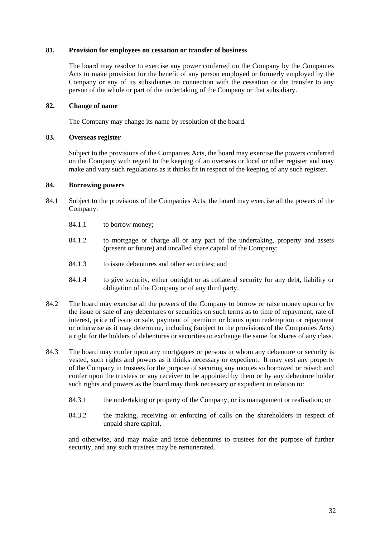## **81. Provision for employees on cessation or transfer of business**

The board may resolve to exercise any power conferred on the Company by the Companies Acts to make provision for the benefit of any person employed or formerly employed by the Company or any of its subsidiaries in connection with the cessation or the transfer to any person of the whole or part of the undertaking of the Company or that subsidiary.

## **82. Change of name**

The Company may change its name by resolution of the board.

## **83. Overseas register**

Subject to the provisions of the Companies Acts, the board may exercise the powers conferred on the Company with regard to the keeping of an overseas or local or other register and may make and vary such regulations as it thinks fit in respect of the keeping of any such register.

## **84. Borrowing powers**

- 84.1 Subject to the provisions of the Companies Acts, the board may exercise all the powers of the Company:
	- 84.1.1 to borrow money;
	- 84.1.2 to mortgage or charge all or any part of the undertaking, property and assets (present or future) and uncalled share capital of the Company;
	- 84.1.3 to issue debentures and other securities; and
	- 84.1.4 to give security, either outright or as collateral security for any debt, liability or obligation of the Company or of any third party.
- 84.2 The board may exercise all the powers of the Company to borrow or raise money upon or by the issue or sale of any debentures or securities on such terms as to time of repayment, rate of interest, price of issue or sale, payment of premium or bonus upon redemption or repayment or otherwise as it may determine, including (subject to the provisions of the Companies Acts) a right for the holders of debentures or securities to exchange the same for shares of any class.
- 84.3 The board may confer upon any mortgagees or persons in whom any debenture or security is vested, such rights and powers as it thinks necessary or expedient. It may vest any property of the Company in trustees for the purpose of securing any monies so borrowed or raised; and confer upon the trustees or any receiver to be appointed by them or by any debenture holder such rights and powers as the board may think necessary or expedient in relation to:
	- 84.3.1 the undertaking or property of the Company, or its management or realisation; or
	- 84.3.2 the making, receiving or enforcing of calls on the shareholders in respect of unpaid share capital,

and otherwise, and may make and issue debentures to trustees for the purpose of further security, and any such trustees may be remunerated.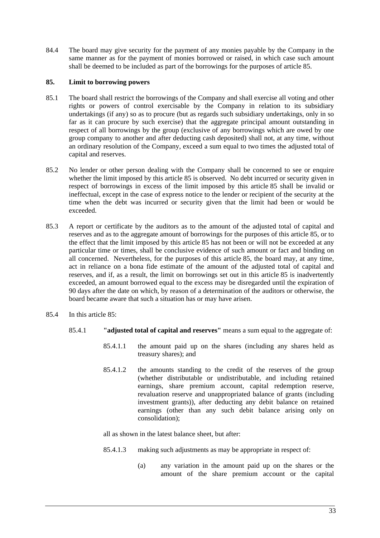84.4 The board may give security for the payment of any monies payable by the Company in the same manner as for the payment of monies borrowed or raised, in which case such amount shall be deemed to be included as part of the borrowings for the purposes of article 85.

# **85. Limit to borrowing powers**

- 85.1 The board shall restrict the borrowings of the Company and shall exercise all voting and other rights or powers of control exercisable by the Company in relation to its subsidiary undertakings (if any) so as to procure (but as regards such subsidiary undertakings, only in so far as it can procure by such exercise) that the aggregate principal amount outstanding in respect of all borrowings by the group (exclusive of any borrowings which are owed by one group company to another and after deducting cash deposited) shall not, at any time, without an ordinary resolution of the Company, exceed a sum equal to two times the adjusted total of capital and reserves.
- 85.2 No lender or other person dealing with the Company shall be concerned to see or enquire whether the limit imposed by this article 85 is observed. No debt incurred or security given in respect of borrowings in excess of the limit imposed by this article 85 shall be invalid or ineffectual, except in the case of express notice to the lender or recipient of the security at the time when the debt was incurred or security given that the limit had been or would be exceeded.
- 85.3 A report or certificate by the auditors as to the amount of the adjusted total of capital and reserves and as to the aggregate amount of borrowings for the purposes of this article 85, or to the effect that the limit imposed by this article 85 has not been or will not be exceeded at any particular time or times, shall be conclusive evidence of such amount or fact and binding on all concerned. Nevertheless, for the purposes of this article 85, the board may, at any time, act in reliance on a bona fide estimate of the amount of the adjusted total of capital and reserves, and if, as a result, the limit on borrowings set out in this article 85 is inadvertently exceeded, an amount borrowed equal to the excess may be disregarded until the expiration of 90 days after the date on which, by reason of a determination of the auditors or otherwise, the board became aware that such a situation has or may have arisen.
- 85.4 In this article 85:
	- 85.4.1 **"adjusted total of capital and reserves"** means a sum equal to the aggregate of:
		- 85.4.1.1 the amount paid up on the shares (including any shares held as treasury shares); and
		- 85.4.1.2 the amounts standing to the credit of the reserves of the group (whether distributable or undistributable, and including retained earnings, share premium account, capital redemption reserve, revaluation reserve and unappropriated balance of grants (including investment grants)), after deducting any debit balance on retained earnings (other than any such debit balance arising only on consolidation);

all as shown in the latest balance sheet, but after:

- 85.4.1.3 making such adjustments as may be appropriate in respect of:
	- (a) any variation in the amount paid up on the shares or the amount of the share premium account or the capital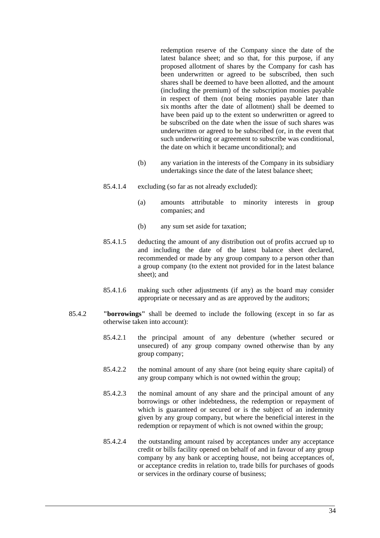redemption reserve of the Company since the date of the latest balance sheet; and so that, for this purpose, if any proposed allotment of shares by the Company for cash has been underwritten or agreed to be subscribed, then such shares shall be deemed to have been allotted, and the amount (including the premium) of the subscription monies payable in respect of them (not being monies payable later than six months after the date of allotment) shall be deemed to have been paid up to the extent so underwritten or agreed to be subscribed on the date when the issue of such shares was underwritten or agreed to be subscribed (or, in the event that such underwriting or agreement to subscribe was conditional, the date on which it became unconditional); and

- (b) any variation in the interests of the Company in its subsidiary undertakings since the date of the latest balance sheet;
- 85.4.1.4 excluding (so far as not already excluded):
	- (a) amounts attributable to minority interests in group companies; and
	- (b) any sum set aside for taxation;
- 85.4.1.5 deducting the amount of any distribution out of profits accrued up to and including the date of the latest balance sheet declared, recommended or made by any group company to a person other than a group company (to the extent not provided for in the latest balance sheet); and
- 85.4.1.6 making such other adjustments (if any) as the board may consider appropriate or necessary and as are approved by the auditors;
- 85.4.2 **"borrowings"** shall be deemed to include the following (except in so far as otherwise taken into account):
	- 85.4.2.1 the principal amount of any debenture (whether secured or unsecured) of any group company owned otherwise than by any group company;
	- 85.4.2.2 the nominal amount of any share (not being equity share capital) of any group company which is not owned within the group;
	- 85.4.2.3 the nominal amount of any share and the principal amount of any borrowings or other indebtedness, the redemption or repayment of which is guaranteed or secured or is the subject of an indemnity given by any group company, but where the beneficial interest in the redemption or repayment of which is not owned within the group;
	- 85.4.2.4 the outstanding amount raised by acceptances under any acceptance credit or bills facility opened on behalf of and in favour of any group company by any bank or accepting house, not being acceptances of, or acceptance credits in relation to, trade bills for purchases of goods or services in the ordinary course of business;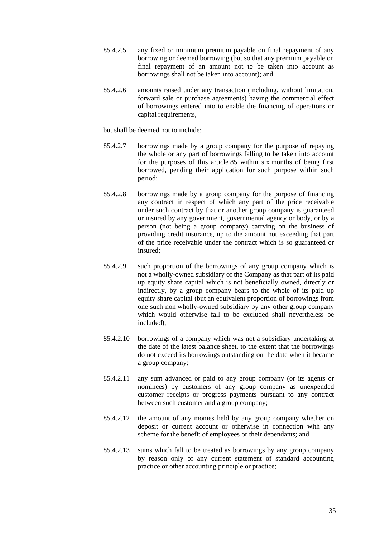- 85.4.2.5 any fixed or minimum premium payable on final repayment of any borrowing or deemed borrowing (but so that any premium payable on final repayment of an amount not to be taken into account as borrowings shall not be taken into account); and
- 85.4.2.6 amounts raised under any transaction (including, without limitation, forward sale or purchase agreements) having the commercial effect of borrowings entered into to enable the financing of operations or capital requirements,

but shall be deemed not to include:

- 85.4.2.7 borrowings made by a group company for the purpose of repaying the whole or any part of borrowings falling to be taken into account for the purposes of this article 85 within six months of being first borrowed, pending their application for such purpose within such period;
- 85.4.2.8 borrowings made by a group company for the purpose of financing any contract in respect of which any part of the price receivable under such contract by that or another group company is guaranteed or insured by any government, governmental agency or body, or by a person (not being a group company) carrying on the business of providing credit insurance, up to the amount not exceeding that part of the price receivable under the contract which is so guaranteed or insured;
- 85.4.2.9 such proportion of the borrowings of any group company which is not a wholly-owned subsidiary of the Company as that part of its paid up equity share capital which is not beneficially owned, directly or indirectly, by a group company bears to the whole of its paid up equity share capital (but an equivalent proportion of borrowings from one such non wholly-owned subsidiary by any other group company which would otherwise fall to be excluded shall nevertheless be included);
- 85.4.2.10 borrowings of a company which was not a subsidiary undertaking at the date of the latest balance sheet, to the extent that the borrowings do not exceed its borrowings outstanding on the date when it became a group company;
- 85.4.2.11 any sum advanced or paid to any group company (or its agents or nominees) by customers of any group company as unexpended customer receipts or progress payments pursuant to any contract between such customer and a group company;
- 85.4.2.12 the amount of any monies held by any group company whether on deposit or current account or otherwise in connection with any scheme for the benefit of employees or their dependants; and
- 85.4.2.13 sums which fall to be treated as borrowings by any group company by reason only of any current statement of standard accounting practice or other accounting principle or practice;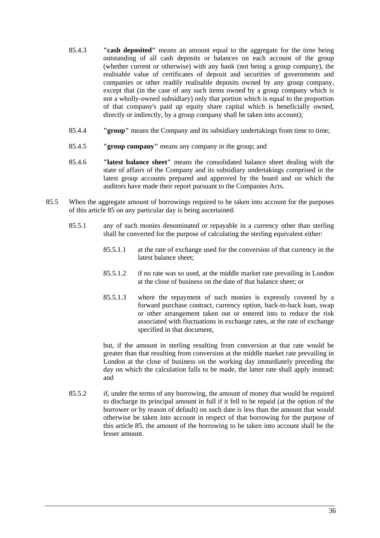- 85.4.3 **"cash deposited"** means an amount equal to the aggregate for the time being outstanding of all cash deposits or balances on each account of the group (whether current or otherwise) with any bank (not being a group company), the realisable value of certificates of deposit and securities of governments and companies or other readily realisable deposits owned by any group company, except that (in the case of any such items owned by a group company which is not a wholly-owned subsidiary) only that portion which is equal to the proportion of that company's paid up equity share capital which is beneficially owned, directly or indirectly, by a group company shall be taken into account);
- 85.4.4 **"group"** means the Company and its subsidiary undertakings from time to time;
- 85.4.5 **"group company"** means any company in the group; and
- 85.4.6 **"latest balance sheet"** means the consolidated balance sheet dealing with the state of affairs of the Company and its subsidiary undertakings comprised in the latest group accounts prepared and approved by the board and on which the auditors have made their report pursuant to the Companies Acts.
- 85.5 When the aggregate amount of borrowings required to be taken into account for the purposes of this article 85 on any particular day is being ascertained:
	- 85.5.1 any of such monies denominated or repayable in a currency other than sterling shall be converted for the purpose of calculating the sterling equivalent either:
		- 85.5.1.1 at the rate of exchange used for the conversion of that currency in the latest balance sheet;
		- 85.5.1.2 if no rate was so used, at the middle market rate prevailing in London at the close of business on the date of that balance sheet; or
		- 85.5.1.3 where the repayment of such monies is expressly covered by a forward purchase contract, currency option, back-to-back loan, swap or other arrangement taken out or entered into to reduce the risk associated with fluctuations in exchange rates, at the rate of exchange specified in that document,

but, if the amount in sterling resulting from conversion at that rate would be greater than that resulting from conversion at the middle market rate prevailing in London at the close of business on the working day immediately preceding the day on which the calculation falls to be made, the latter rate shall apply instead; and

85.5.2 if, under the terms of any borrowing, the amount of money that would be required to discharge its principal amount in full if it fell to be repaid (at the option of the borrower or by reason of default) on such date is less than the amount that would otherwise be taken into account in respect of that borrowing for the purpose of this article 85, the amount of the borrowing to be taken into account shall be the lesser amount.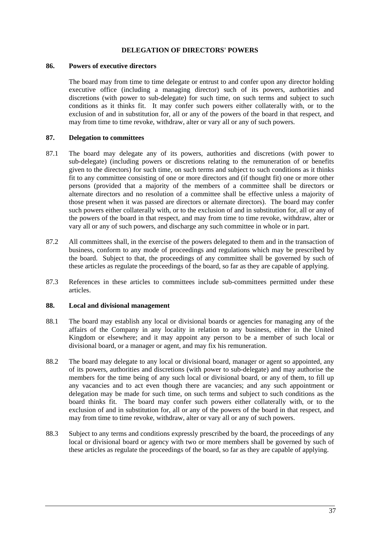## **DELEGATION OF DIRECTORS' POWERS**

#### **86. Powers of executive directors**

The board may from time to time delegate or entrust to and confer upon any director holding executive office (including a managing director) such of its powers, authorities and discretions (with power to sub-delegate) for such time, on such terms and subject to such conditions as it thinks fit. It may confer such powers either collaterally with, or to the exclusion of and in substitution for, all or any of the powers of the board in that respect, and may from time to time revoke, withdraw, alter or vary all or any of such powers.

# **87. Delegation to committees**

- 87.1 The board may delegate any of its powers, authorities and discretions (with power to sub-delegate) (including powers or discretions relating to the remuneration of or benefits given to the directors) for such time, on such terms and subject to such conditions as it thinks fit to any committee consisting of one or more directors and (if thought fit) one or more other persons (provided that a majority of the members of a committee shall be directors or alternate directors and no resolution of a committee shall be effective unless a majority of those present when it was passed are directors or alternate directors). The board may confer such powers either collaterally with, or to the exclusion of and in substitution for, all or any of the powers of the board in that respect, and may from time to time revoke, withdraw, alter or vary all or any of such powers, and discharge any such committee in whole or in part.
- 87.2 All committees shall, in the exercise of the powers delegated to them and in the transaction of business, conform to any mode of proceedings and regulations which may be prescribed by the board. Subject to that, the proceedings of any committee shall be governed by such of these articles as regulate the proceedings of the board, so far as they are capable of applying.
- 87.3 References in these articles to committees include sub-committees permitted under these articles.

# **88. Local and divisional management**

- 88.1 The board may establish any local or divisional boards or agencies for managing any of the affairs of the Company in any locality in relation to any business, either in the United Kingdom or elsewhere; and it may appoint any person to be a member of such local or divisional board, or a manager or agent, and may fix his remuneration.
- 88.2 The board may delegate to any local or divisional board, manager or agent so appointed, any of its powers, authorities and discretions (with power to sub-delegate) and may authorise the members for the time being of any such local or divisional board, or any of them, to fill up any vacancies and to act even though there are vacancies; and any such appointment or delegation may be made for such time, on such terms and subject to such conditions as the board thinks fit. The board may confer such powers either collaterally with, or to the exclusion of and in substitution for, all or any of the powers of the board in that respect, and may from time to time revoke, withdraw, alter or vary all or any of such powers.
- 88.3 Subject to any terms and conditions expressly prescribed by the board, the proceedings of any local or divisional board or agency with two or more members shall be governed by such of these articles as regulate the proceedings of the board, so far as they are capable of applying.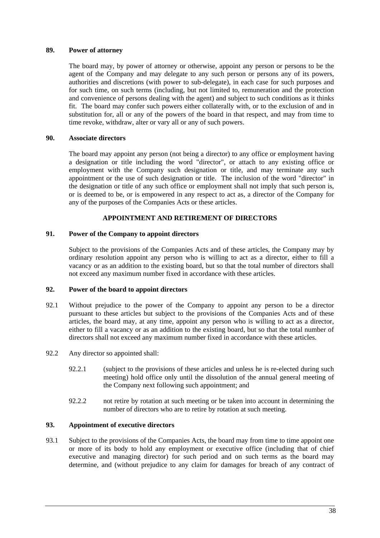## **89. Power of attorney**

The board may, by power of attorney or otherwise, appoint any person or persons to be the agent of the Company and may delegate to any such person or persons any of its powers, authorities and discretions (with power to sub-delegate), in each case for such purposes and for such time, on such terms (including, but not limited to, remuneration and the protection and convenience of persons dealing with the agent) and subject to such conditions as it thinks fit. The board may confer such powers either collaterally with, or to the exclusion of and in substitution for, all or any of the powers of the board in that respect, and may from time to time revoke, withdraw, alter or vary all or any of such powers.

## **90. Associate directors**

The board may appoint any person (not being a director) to any office or employment having a designation or title including the word "director", or attach to any existing office or employment with the Company such designation or title, and may terminate any such appointment or the use of such designation or title. The inclusion of the word "director" in the designation or title of any such office or employment shall not imply that such person is, or is deemed to be, or is empowered in any respect to act as, a director of the Company for any of the purposes of the Companies Acts or these articles.

## **APPOINTMENT AND RETIREMENT OF DIRECTORS**

## **91. Power of the Company to appoint directors**

Subject to the provisions of the Companies Acts and of these articles, the Company may by ordinary resolution appoint any person who is willing to act as a director, either to fill a vacancy or as an addition to the existing board, but so that the total number of directors shall not exceed any maximum number fixed in accordance with these articles.

## **92. Power of the board to appoint directors**

- 92.1 Without prejudice to the power of the Company to appoint any person to be a director pursuant to these articles but subject to the provisions of the Companies Acts and of these articles, the board may, at any time, appoint any person who is willing to act as a director, either to fill a vacancy or as an addition to the existing board, but so that the total number of directors shall not exceed any maximum number fixed in accordance with these articles.
- 92.2 Any director so appointed shall:
	- 92.2.1 (subject to the provisions of these articles and unless he is re-elected during such meeting) hold office only until the dissolution of the annual general meeting of the Company next following such appointment; and
	- 92.2.2 not retire by rotation at such meeting or be taken into account in determining the number of directors who are to retire by rotation at such meeting.

## **93. Appointment of executive directors**

93.1 Subject to the provisions of the Companies Acts, the board may from time to time appoint one or more of its body to hold any employment or executive office (including that of chief executive and managing director) for such period and on such terms as the board may determine, and (without prejudice to any claim for damages for breach of any contract of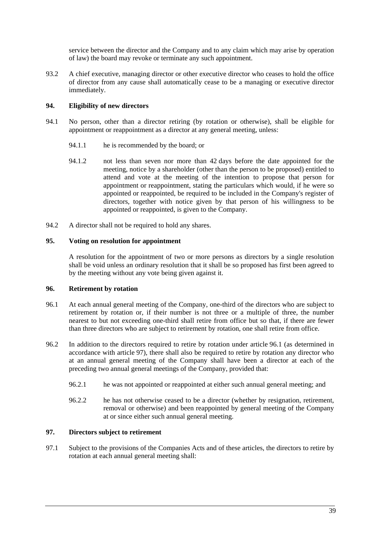service between the director and the Company and to any claim which may arise by operation of law) the board may revoke or terminate any such appointment.

93.2 A chief executive, managing director or other executive director who ceases to hold the office of director from any cause shall automatically cease to be a managing or executive director immediately.

# **94. Eligibility of new directors**

- 94.1 No person, other than a director retiring (by rotation or otherwise), shall be eligible for appointment or reappointment as a director at any general meeting, unless:
	- 94.1.1 he is recommended by the board; or
	- 94.1.2 not less than seven nor more than 42 days before the date appointed for the meeting, notice by a shareholder (other than the person to be proposed) entitled to attend and vote at the meeting of the intention to propose that person for appointment or reappointment, stating the particulars which would, if he were so appointed or reappointed, be required to be included in the Company's register of directors, together with notice given by that person of his willingness to be appointed or reappointed, is given to the Company.
- 94.2 A director shall not be required to hold any shares.

# **95. Voting on resolution for appointment**

A resolution for the appointment of two or more persons as directors by a single resolution shall be void unless an ordinary resolution that it shall be so proposed has first been agreed to by the meeting without any vote being given against it.

## **96. Retirement by rotation**

- 96.1 At each annual general meeting of the Company, one-third of the directors who are subject to retirement by rotation or, if their number is not three or a multiple of three, the number nearest to but not exceeding one-third shall retire from office but so that, if there are fewer than three directors who are subject to retirement by rotation, one shall retire from office.
- 96.2 In addition to the directors required to retire by rotation under article 96.1 (as determined in accordance with article 97), there shall also be required to retire by rotation any director who at an annual general meeting of the Company shall have been a director at each of the preceding two annual general meetings of the Company, provided that:
	- 96.2.1 he was not appointed or reappointed at either such annual general meeting; and
	- 96.2.2 he has not otherwise ceased to be a director (whether by resignation, retirement, removal or otherwise) and been reappointed by general meeting of the Company at or since either such annual general meeting.

## **97. Directors subject to retirement**

97.1 Subject to the provisions of the Companies Acts and of these articles, the directors to retire by rotation at each annual general meeting shall: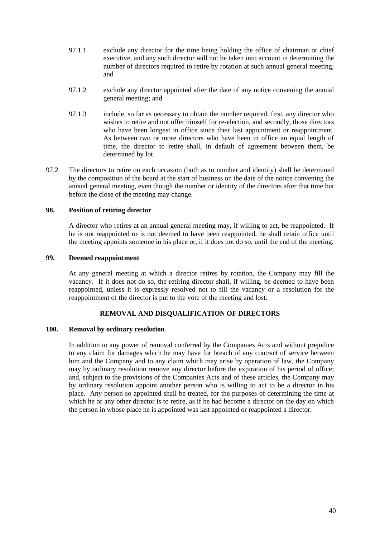- 97.1.1 exclude any director for the time being holding the office of chairman or chief executive, and any such director will not be taken into account in determining the number of directors required to retire by rotation at such annual general meeting; and
- 97.1.2 exclude any director appointed after the date of any notice convening the annual general meeting; and
- 97.1.3 include, so far as necessary to obtain the number required, first, any director who wishes to retire and not offer himself for re-election, and secondly, those directors who have been longest in office since their last appointment or reappointment. As between two or more directors who have been in office an equal length of time, the director to retire shall, in default of agreement between them, be determined by lot.
- 97.2 The directors to retire on each occasion (both as to number and identity) shall be determined by the composition of the board at the start of business on the date of the notice convening the annual general meeting, even though the number or identity of the directors after that time but before the close of the meeting may change.

## **98. Position of retiring director**

A director who retires at an annual general meeting may, if willing to act, be reappointed. If he is not reappointed or is not deemed to have been reappointed, he shall retain office until the meeting appoints someone in his place or, if it does not do so, until the end of the meeting.

## **99. Deemed reappointment**

At any general meeting at which a director retires by rotation, the Company may fill the vacancy. If it does not do so, the retiring director shall, if willing, be deemed to have been reappointed, unless it is expressly resolved not to fill the vacancy or a resolution for the reappointment of the director is put to the vote of the meeting and lost.

# **REMOVAL AND DISQUALIFICATION OF DIRECTORS**

#### **100. Removal by ordinary resolution**

In addition to any power of removal conferred by the Companies Acts and without prejudice to any claim for damages which he may have for breach of any contract of service between him and the Company and to any claim which may arise by operation of law, the Company may by ordinary resolution remove any director before the expiration of his period of office; and, subject to the provisions of the Companies Acts and of these articles, the Company may by ordinary resolution appoint another person who is willing to act to be a director in his place. Any person so appointed shall be treated, for the purposes of determining the time at which he or any other director is to retire, as if he had become a director on the day on which the person in whose place he is appointed was last appointed or reappointed a director.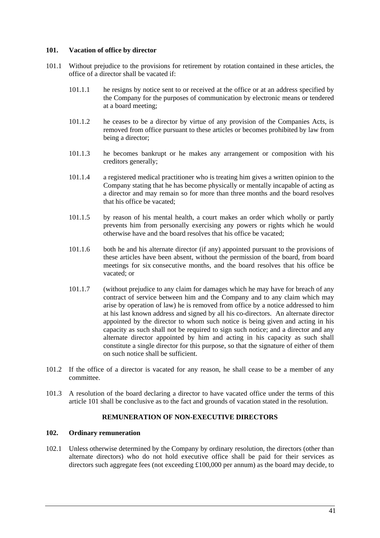## **101. Vacation of office by director**

- 101.1 Without prejudice to the provisions for retirement by rotation contained in these articles, the office of a director shall be vacated if:
	- 101.1.1 he resigns by notice sent to or received at the office or at an address specified by the Company for the purposes of communication by electronic means or tendered at a board meeting;
	- 101.1.2 he ceases to be a director by virtue of any provision of the Companies Acts, is removed from office pursuant to these articles or becomes prohibited by law from being a director;
	- 101.1.3 he becomes bankrupt or he makes any arrangement or composition with his creditors generally;
	- 101.1.4 a registered medical practitioner who is treating him gives a written opinion to the Company stating that he has become physically or mentally incapable of acting as a director and may remain so for more than three months and the board resolves that his office be vacated;
	- 101.1.5 by reason of his mental health, a court makes an order which wholly or partly prevents him from personally exercising any powers or rights which he would otherwise have and the board resolves that his office be vacated;
	- 101.1.6 both he and his alternate director (if any) appointed pursuant to the provisions of these articles have been absent, without the permission of the board, from board meetings for six consecutive months, and the board resolves that his office be vacated; or
	- 101.1.7 (without prejudice to any claim for damages which he may have for breach of any contract of service between him and the Company and to any claim which may arise by operation of law) he is removed from office by a notice addressed to him at his last known address and signed by all his co-directors. An alternate director appointed by the director to whom such notice is being given and acting in his capacity as such shall not be required to sign such notice; and a director and any alternate director appointed by him and acting in his capacity as such shall constitute a single director for this purpose, so that the signature of either of them on such notice shall be sufficient.
- 101.2 If the office of a director is vacated for any reason, he shall cease to be a member of any committee.
- 101.3 A resolution of the board declaring a director to have vacated office under the terms of this article 101 shall be conclusive as to the fact and grounds of vacation stated in the resolution.

# **REMUNERATION OF NON-EXECUTIVE DIRECTORS**

## **102. Ordinary remuneration**

102.1 Unless otherwise determined by the Company by ordinary resolution, the directors (other than alternate directors) who do not hold executive office shall be paid for their services as directors such aggregate fees (not exceeding £100,000 per annum) as the board may decide, to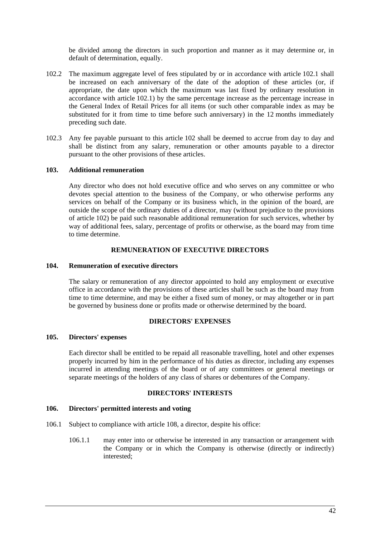be divided among the directors in such proportion and manner as it may determine or, in default of determination, equally.

- 102.2 The maximum aggregate level of fees stipulated by or in accordance with article 102.1 shall be increased on each anniversary of the date of the adoption of these articles (or, if appropriate, the date upon which the maximum was last fixed by ordinary resolution in accordance with article 102.1) by the same percentage increase as the percentage increase in the General Index of Retail Prices for all items (or such other comparable index as may be substituted for it from time to time before such anniversary) in the 12 months immediately preceding such date.
- 102.3 Any fee payable pursuant to this article 102 shall be deemed to accrue from day to day and shall be distinct from any salary, remuneration or other amounts payable to a director pursuant to the other provisions of these articles.

## **103. Additional remuneration**

Any director who does not hold executive office and who serves on any committee or who devotes special attention to the business of the Company, or who otherwise performs any services on behalf of the Company or its business which, in the opinion of the board, are outside the scope of the ordinary duties of a director, may (without prejudice to the provisions of article 102) be paid such reasonable additional remuneration for such services, whether by way of additional fees, salary, percentage of profits or otherwise, as the board may from time to time determine.

## **REMUNERATION OF EXECUTIVE DIRECTORS**

#### **104. Remuneration of executive directors**

The salary or remuneration of any director appointed to hold any employment or executive office in accordance with the provisions of these articles shall be such as the board may from time to time determine, and may be either a fixed sum of money, or may altogether or in part be governed by business done or profits made or otherwise determined by the board.

## **DIRECTORS' EXPENSES**

#### **105. Directors' expenses**

Each director shall be entitled to be repaid all reasonable travelling, hotel and other expenses properly incurred by him in the performance of his duties as director, including any expenses incurred in attending meetings of the board or of any committees or general meetings or separate meetings of the holders of any class of shares or debentures of the Company.

## **DIRECTORS' INTERESTS**

#### **106. Directors' permitted interests and voting**

- 106.1 Subject to compliance with article 108, a director, despite his office:
	- 106.1.1 may enter into or otherwise be interested in any transaction or arrangement with the Company or in which the Company is otherwise (directly or indirectly) interested;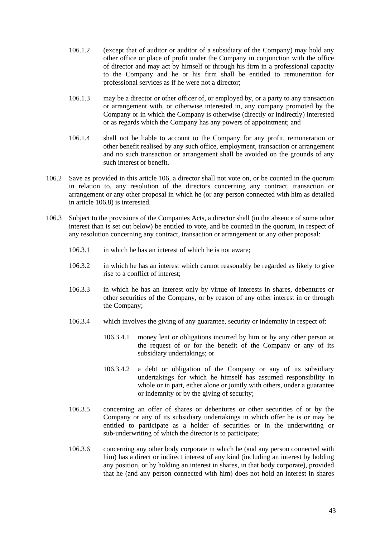- 106.1.2 (except that of auditor or auditor of a subsidiary of the Company) may hold any other office or place of profit under the Company in conjunction with the office of director and may act by himself or through his firm in a professional capacity to the Company and he or his firm shall be entitled to remuneration for professional services as if he were not a director;
- 106.1.3 may be a director or other officer of, or employed by, or a party to any transaction or arrangement with, or otherwise interested in, any company promoted by the Company or in which the Company is otherwise (directly or indirectly) interested or as regards which the Company has any powers of appointment; and
- 106.1.4 shall not be liable to account to the Company for any profit, remuneration or other benefit realised by any such office, employment, transaction or arrangement and no such transaction or arrangement shall be avoided on the grounds of any such interest or benefit.
- 106.2 Save as provided in this article 106, a director shall not vote on, or be counted in the quorum in relation to, any resolution of the directors concerning any contract, transaction or arrangement or any other proposal in which he (or any person connected with him as detailed in article 106.8) is interested.
- 106.3 Subject to the provisions of the Companies Acts, a director shall (in the absence of some other interest than is set out below) be entitled to vote, and be counted in the quorum, in respect of any resolution concerning any contract, transaction or arrangement or any other proposal:
	- 106.3.1 in which he has an interest of which he is not aware;
	- 106.3.2 in which he has an interest which cannot reasonably be regarded as likely to give rise to a conflict of interest;
	- 106.3.3 in which he has an interest only by virtue of interests in shares, debentures or other securities of the Company, or by reason of any other interest in or through the Company;
	- 106.3.4 which involves the giving of any guarantee, security or indemnity in respect of:
		- 106.3.4.1 money lent or obligations incurred by him or by any other person at the request of or for the benefit of the Company or any of its subsidiary undertakings; or
		- 106.3.4.2 a debt or obligation of the Company or any of its subsidiary undertakings for which he himself has assumed responsibility in whole or in part, either alone or jointly with others, under a guarantee or indemnity or by the giving of security;
	- 106.3.5 concerning an offer of shares or debentures or other securities of or by the Company or any of its subsidiary undertakings in which offer he is or may be entitled to participate as a holder of securities or in the underwriting or sub-underwriting of which the director is to participate;
	- 106.3.6 concerning any other body corporate in which he (and any person connected with him) has a direct or indirect interest of any kind (including an interest by holding any position, or by holding an interest in shares, in that body corporate), provided that he (and any person connected with him) does not hold an interest in shares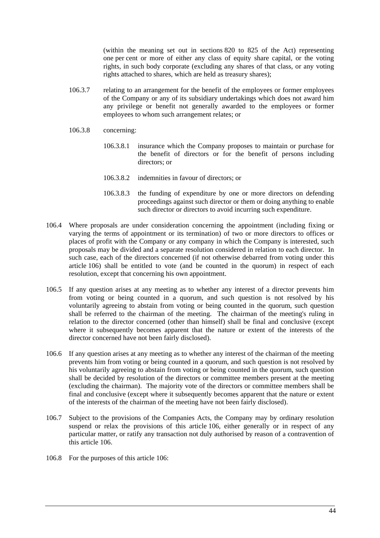(within the meaning set out in sections 820 to 825 of the Act) representing one per cent or more of either any class of equity share capital, or the voting rights, in such body corporate (excluding any shares of that class, or any voting rights attached to shares, which are held as treasury shares);

- 106.3.7 relating to an arrangement for the benefit of the employees or former employees of the Company or any of its subsidiary undertakings which does not award him any privilege or benefit not generally awarded to the employees or former employees to whom such arrangement relates; or
- 106.3.8 concerning:
	- 106.3.8.1 insurance which the Company proposes to maintain or purchase for the benefit of directors or for the benefit of persons including directors; or
	- 106.3.8.2 indemnities in favour of directors; or
	- 106.3.8.3 the funding of expenditure by one or more directors on defending proceedings against such director or them or doing anything to enable such director or directors to avoid incurring such expenditure.
- 106.4 Where proposals are under consideration concerning the appointment (including fixing or varying the terms of appointment or its termination) of two or more directors to offices or places of profit with the Company or any company in which the Company is interested, such proposals may be divided and a separate resolution considered in relation to each director. In such case, each of the directors concerned (if not otherwise debarred from voting under this article 106) shall be entitled to vote (and be counted in the quorum) in respect of each resolution, except that concerning his own appointment.
- 106.5 If any question arises at any meeting as to whether any interest of a director prevents him from voting or being counted in a quorum, and such question is not resolved by his voluntarily agreeing to abstain from voting or being counted in the quorum, such question shall be referred to the chairman of the meeting. The chairman of the meeting's ruling in relation to the director concerned (other than himself) shall be final and conclusive (except where it subsequently becomes apparent that the nature or extent of the interests of the director concerned have not been fairly disclosed).
- 106.6 If any question arises at any meeting as to whether any interest of the chairman of the meeting prevents him from voting or being counted in a quorum, and such question is not resolved by his voluntarily agreeing to abstain from voting or being counted in the quorum, such question shall be decided by resolution of the directors or committee members present at the meeting (excluding the chairman). The majority vote of the directors or committee members shall be final and conclusive (except where it subsequently becomes apparent that the nature or extent of the interests of the chairman of the meeting have not been fairly disclosed).
- 106.7 Subject to the provisions of the Companies Acts, the Company may by ordinary resolution suspend or relax the provisions of this article 106, either generally or in respect of any particular matter, or ratify any transaction not duly authorised by reason of a contravention of this article 106.
- 106.8 For the purposes of this article 106: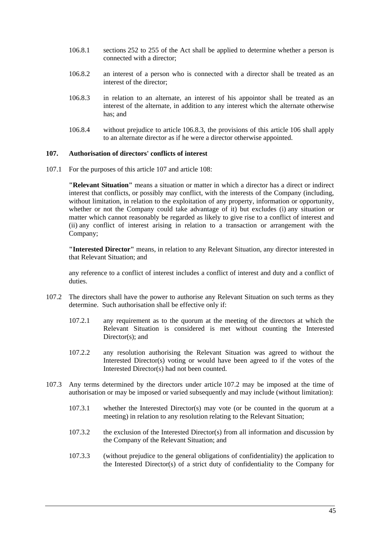- 106.8.1 sections 252 to 255 of the Act shall be applied to determine whether a person is connected with a director;
- 106.8.2 an interest of a person who is connected with a director shall be treated as an interest of the director;
- 106.8.3 in relation to an alternate, an interest of his appointor shall be treated as an interest of the alternate, in addition to any interest which the alternate otherwise has; and
- 106.8.4 without prejudice to article 106.8.3, the provisions of this article 106 shall apply to an alternate director as if he were a director otherwise appointed.

## **107. Authorisation of directors' conflicts of interest**

107.1 For the purposes of this article 107 and article 108:

**"Relevant Situation"** means a situation or matter in which a director has a direct or indirect interest that conflicts, or possibly may conflict, with the interests of the Company (including, without limitation, in relation to the exploitation of any property, information or opportunity, whether or not the Company could take advantage of it) but excludes (i) any situation or matter which cannot reasonably be regarded as likely to give rise to a conflict of interest and (ii) any conflict of interest arising in relation to a transaction or arrangement with the Company;

**"Interested Director"** means, in relation to any Relevant Situation, any director interested in that Relevant Situation; and

any reference to a conflict of interest includes a conflict of interest and duty and a conflict of duties.

- 107.2 The directors shall have the power to authorise any Relevant Situation on such terms as they determine. Such authorisation shall be effective only if:
	- 107.2.1 any requirement as to the quorum at the meeting of the directors at which the Relevant Situation is considered is met without counting the Interested Director(s); and
	- 107.2.2 any resolution authorising the Relevant Situation was agreed to without the Interested Director(s) voting or would have been agreed to if the votes of the Interested Director(s) had not been counted.
- 107.3 Any terms determined by the directors under article 107.2 may be imposed at the time of authorisation or may be imposed or varied subsequently and may include (without limitation):
	- 107.3.1 whether the Interested Director(s) may vote (or be counted in the quorum at a meeting) in relation to any resolution relating to the Relevant Situation;
	- 107.3.2 the exclusion of the Interested Director(s) from all information and discussion by the Company of the Relevant Situation; and
	- 107.3.3 (without prejudice to the general obligations of confidentiality) the application to the Interested Director(s) of a strict duty of confidentiality to the Company for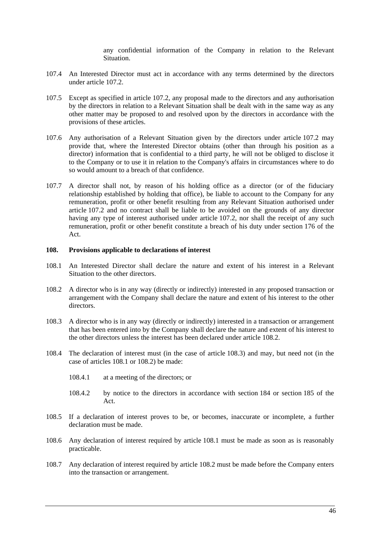any confidential information of the Company in relation to the Relevant Situation.

- 107.4 An Interested Director must act in accordance with any terms determined by the directors under article 107.2.
- 107.5 Except as specified in article 107.2, any proposal made to the directors and any authorisation by the directors in relation to a Relevant Situation shall be dealt with in the same way as any other matter may be proposed to and resolved upon by the directors in accordance with the provisions of these articles.
- 107.6 Any authorisation of a Relevant Situation given by the directors under article 107.2 may provide that, where the Interested Director obtains (other than through his position as a director) information that is confidential to a third party, he will not be obliged to disclose it to the Company or to use it in relation to the Company's affairs in circumstances where to do so would amount to a breach of that confidence.
- 107.7 A director shall not, by reason of his holding office as a director (or of the fiduciary relationship established by holding that office), be liable to account to the Company for any remuneration, profit or other benefit resulting from any Relevant Situation authorised under article 107.2 and no contract shall be liable to be avoided on the grounds of any director having any type of interest authorised under article 107.2, nor shall the receipt of any such remuneration, profit or other benefit constitute a breach of his duty under section 176 of the Act.

#### **108. Provisions applicable to declarations of interest**

- 108.1 An Interested Director shall declare the nature and extent of his interest in a Relevant Situation to the other directors.
- 108.2 A director who is in any way (directly or indirectly) interested in any proposed transaction or arrangement with the Company shall declare the nature and extent of his interest to the other directors.
- 108.3 A director who is in any way (directly or indirectly) interested in a transaction or arrangement that has been entered into by the Company shall declare the nature and extent of his interest to the other directors unless the interest has been declared under article 108.2.
- 108.4 The declaration of interest must (in the case of article 108.3) and may, but need not (in the case of articles 108.1 or 108.2) be made:
	- 108.4.1 at a meeting of the directors; or
	- 108.4.2 by notice to the directors in accordance with section 184 or section 185 of the Act.
- 108.5 If a declaration of interest proves to be, or becomes, inaccurate or incomplete, a further declaration must be made.
- 108.6 Any declaration of interest required by article 108.1 must be made as soon as is reasonably practicable.
- 108.7 Any declaration of interest required by article 108.2 must be made before the Company enters into the transaction or arrangement.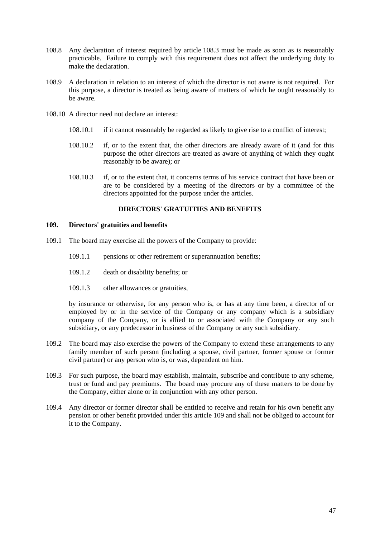- 108.8 Any declaration of interest required by article 108.3 must be made as soon as is reasonably practicable. Failure to comply with this requirement does not affect the underlying duty to make the declaration.
- 108.9 A declaration in relation to an interest of which the director is not aware is not required. For this purpose, a director is treated as being aware of matters of which he ought reasonably to be aware.
- 108.10 A director need not declare an interest:
	- 108.10.1 if it cannot reasonably be regarded as likely to give rise to a conflict of interest;
	- 108.10.2 if, or to the extent that, the other directors are already aware of it (and for this purpose the other directors are treated as aware of anything of which they ought reasonably to be aware); or
	- 108.10.3 if, or to the extent that, it concerns terms of his service contract that have been or are to be considered by a meeting of the directors or by a committee of the directors appointed for the purpose under the articles.

## **DIRECTORS' GRATUITIES AND BENEFITS**

#### **109. Directors' gratuities and benefits**

- 109.1 The board may exercise all the powers of the Company to provide:
	- 109.1.1 pensions or other retirement or superannuation benefits;
	- 109.1.2 death or disability benefits; or
	- 109.1.3 other allowances or gratuities,

by insurance or otherwise, for any person who is, or has at any time been, a director of or employed by or in the service of the Company or any company which is a subsidiary company of the Company, or is allied to or associated with the Company or any such subsidiary, or any predecessor in business of the Company or any such subsidiary.

- 109.2 The board may also exercise the powers of the Company to extend these arrangements to any family member of such person (including a spouse, civil partner, former spouse or former civil partner) or any person who is, or was, dependent on him.
- 109.3 For such purpose, the board may establish, maintain, subscribe and contribute to any scheme, trust or fund and pay premiums. The board may procure any of these matters to be done by the Company, either alone or in conjunction with any other person.
- 109.4 Any director or former director shall be entitled to receive and retain for his own benefit any pension or other benefit provided under this article 109 and shall not be obliged to account for it to the Company.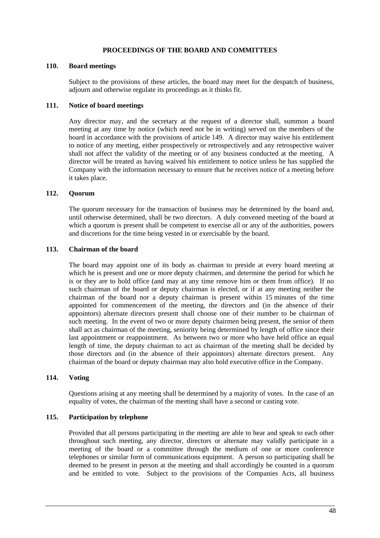## **PROCEEDINGS OF THE BOARD AND COMMITTEES**

#### **110. Board meetings**

Subject to the provisions of these articles, the board may meet for the despatch of business, adjourn and otherwise regulate its proceedings as it thinks fit.

## **111. Notice of board meetings**

Any director may, and the secretary at the request of a director shall, summon a board meeting at any time by notice (which need not be in writing) served on the members of the board in accordance with the provisions of article 149. A director may waive his entitlement to notice of any meeting, either prospectively or retrospectively and any retrospective waiver shall not affect the validity of the meeting or of any business conducted at the meeting. A director will be treated as having waived his entitlement to notice unless he has supplied the Company with the information necessary to ensure that he receives notice of a meeting before it takes place.

## **112. Quorum**

The quorum necessary for the transaction of business may be determined by the board and, until otherwise determined, shall be two directors. A duly convened meeting of the board at which a quorum is present shall be competent to exercise all or any of the authorities, powers and discretions for the time being vested in or exercisable by the board.

## **113. Chairman of the board**

The board may appoint one of its body as chairman to preside at every board meeting at which he is present and one or more deputy chairmen, and determine the period for which he is or they are to hold office (and may at any time remove him or them from office). If no such chairman of the board or deputy chairman is elected, or if at any meeting neither the chairman of the board nor a deputy chairman is present within 15 minutes of the time appointed for commencement of the meeting, the directors and (in the absence of their appointors) alternate directors present shall choose one of their number to be chairman of such meeting. In the event of two or more deputy chairmen being present, the senior of them shall act as chairman of the meeting, seniority being determined by length of office since their last appointment or reappointment. As between two or more who have held office an equal length of time, the deputy chairman to act as chairman of the meeting shall be decided by those directors and (in the absence of their appointors) alternate directors present. Any chairman of the board or deputy chairman may also hold executive office in the Company.

## **114. Voting**

Questions arising at any meeting shall be determined by a majority of votes. In the case of an equality of votes, the chairman of the meeting shall have a second or casting vote.

## **115. Participation by telephone**

Provided that all persons participating in the meeting are able to hear and speak to each other throughout such meeting, any director, directors or alternate may validly participate in a meeting of the board or a committee through the medium of one or more conference telephones or similar form of communications equipment. A person so participating shall be deemed to be present in person at the meeting and shall accordingly be counted in a quorum and be entitled to vote. Subject to the provisions of the Companies Acts, all business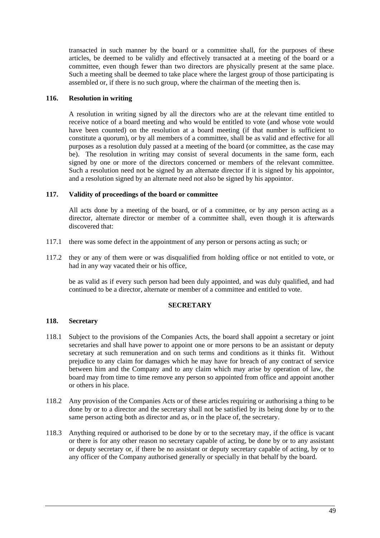transacted in such manner by the board or a committee shall, for the purposes of these articles, be deemed to be validly and effectively transacted at a meeting of the board or a committee, even though fewer than two directors are physically present at the same place. Such a meeting shall be deemed to take place where the largest group of those participating is assembled or, if there is no such group, where the chairman of the meeting then is.

## **116. Resolution in writing**

A resolution in writing signed by all the directors who are at the relevant time entitled to receive notice of a board meeting and who would be entitled to vote (and whose vote would have been counted) on the resolution at a board meeting (if that number is sufficient to constitute a quorum), or by all members of a committee, shall be as valid and effective for all purposes as a resolution duly passed at a meeting of the board (or committee, as the case may be). The resolution in writing may consist of several documents in the same form, each signed by one or more of the directors concerned or members of the relevant committee. Such a resolution need not be signed by an alternate director if it is signed by his appointor, and a resolution signed by an alternate need not also be signed by his appointor.

## **117. Validity of proceedings of the board or committee**

All acts done by a meeting of the board, or of a committee, or by any person acting as a director, alternate director or member of a committee shall, even though it is afterwards discovered that:

- 117.1 there was some defect in the appointment of any person or persons acting as such; or
- 117.2 they or any of them were or was disqualified from holding office or not entitled to vote, or had in any way vacated their or his office,

be as valid as if every such person had been duly appointed, and was duly qualified, and had continued to be a director, alternate or member of a committee and entitled to vote.

## **SECRETARY**

## **118. Secretary**

- 118.1 Subject to the provisions of the Companies Acts, the board shall appoint a secretary or joint secretaries and shall have power to appoint one or more persons to be an assistant or deputy secretary at such remuneration and on such terms and conditions as it thinks fit. Without prejudice to any claim for damages which he may have for breach of any contract of service between him and the Company and to any claim which may arise by operation of law, the board may from time to time remove any person so appointed from office and appoint another or others in his place.
- 118.2 Any provision of the Companies Acts or of these articles requiring or authorising a thing to be done by or to a director and the secretary shall not be satisfied by its being done by or to the same person acting both as director and as, or in the place of, the secretary.
- 118.3 Anything required or authorised to be done by or to the secretary may, if the office is vacant or there is for any other reason no secretary capable of acting, be done by or to any assistant or deputy secretary or, if there be no assistant or deputy secretary capable of acting, by or to any officer of the Company authorised generally or specially in that behalf by the board.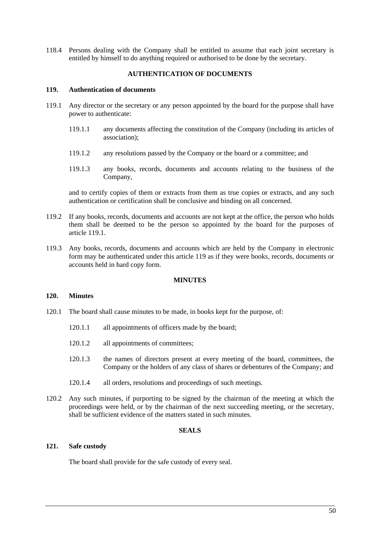118.4 Persons dealing with the Company shall be entitled to assume that each joint secretary is entitled by himself to do anything required or authorised to be done by the secretary.

## **AUTHENTICATION OF DOCUMENTS**

#### **119. Authentication of documents**

- 119.1 Any director or the secretary or any person appointed by the board for the purpose shall have power to authenticate:
	- 119.1.1 any documents affecting the constitution of the Company (including its articles of association);
	- 119.1.2 any resolutions passed by the Company or the board or a committee; and
	- 119.1.3 any books, records, documents and accounts relating to the business of the Company,

and to certify copies of them or extracts from them as true copies or extracts, and any such authentication or certification shall be conclusive and binding on all concerned.

- 119.2 If any books, records, documents and accounts are not kept at the office, the person who holds them shall be deemed to be the person so appointed by the board for the purposes of article 119.1.
- 119.3 Any books, records, documents and accounts which are held by the Company in electronic form may be authenticated under this article 119 as if they were books, records, documents or accounts held in hard copy form.

## **MINUTES**

#### **120. Minutes**

- 120.1 The board shall cause minutes to be made, in books kept for the purpose, of:
	- 120.1.1 all appointments of officers made by the board;
	- 120.1.2 all appointments of committees;
	- 120.1.3 the names of directors present at every meeting of the board, committees, the Company or the holders of any class of shares or debentures of the Company; and
	- 120.1.4 all orders, resolutions and proceedings of such meetings.
- 120.2 Any such minutes, if purporting to be signed by the chairman of the meeting at which the proceedings were held, or by the chairman of the next succeeding meeting, or the secretary, shall be sufficient evidence of the matters stated in such minutes.

## **SEALS**

## **121. Safe custody**

The board shall provide for the safe custody of every seal.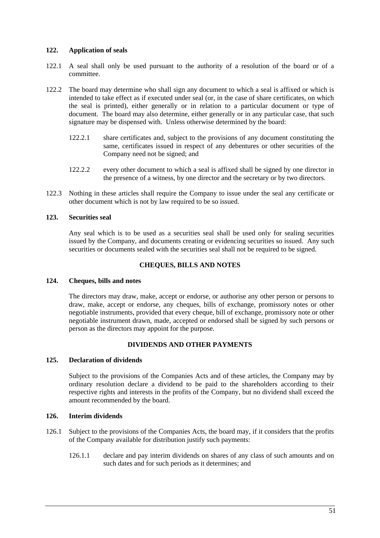## **122. Application of seals**

- 122.1 A seal shall only be used pursuant to the authority of a resolution of the board or of a committee.
- 122.2 The board may determine who shall sign any document to which a seal is affixed or which is intended to take effect as if executed under seal (or, in the case of share certificates, on which the seal is printed), either generally or in relation to a particular document or type of document. The board may also determine, either generally or in any particular case, that such signature may be dispensed with. Unless otherwise determined by the board:
	- 122.2.1 share certificates and, subject to the provisions of any document constituting the same, certificates issued in respect of any debentures or other securities of the Company need not be signed; and
	- 122.2.2 every other document to which a seal is affixed shall be signed by one director in the presence of a witness, by one director and the secretary or by two directors.
- 122.3 Nothing in these articles shall require the Company to issue under the seal any certificate or other document which is not by law required to be so issued.

## **123. Securities seal**

Any seal which is to be used as a securities seal shall be used only for sealing securities issued by the Company, and documents creating or evidencing securities so issued. Any such securities or documents sealed with the securities seal shall not be required to be signed.

## **CHEQUES, BILLS AND NOTES**

## **124. Cheques, bills and notes**

The directors may draw, make, accept or endorse, or authorise any other person or persons to draw, make, accept or endorse, any cheques, bills of exchange, promissory notes or other negotiable instruments, provided that every cheque, bill of exchange, promissory note or other negotiable instrument drawn, made, accepted or endorsed shall be signed by such persons or person as the directors may appoint for the purpose.

## **DIVIDENDS AND OTHER PAYMENTS**

# **125. Declaration of dividends**

Subject to the provisions of the Companies Acts and of these articles, the Company may by ordinary resolution declare a dividend to be paid to the shareholders according to their respective rights and interests in the profits of the Company, but no dividend shall exceed the amount recommended by the board.

## **126. Interim dividends**

- 126.1 Subject to the provisions of the Companies Acts, the board may, if it considers that the profits of the Company available for distribution justify such payments:
	- 126.1.1 declare and pay interim dividends on shares of any class of such amounts and on such dates and for such periods as it determines; and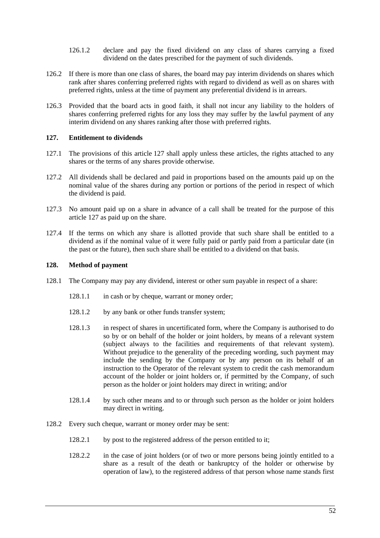- 126.1.2 declare and pay the fixed dividend on any class of shares carrying a fixed dividend on the dates prescribed for the payment of such dividends.
- 126.2 If there is more than one class of shares, the board may pay interim dividends on shares which rank after shares conferring preferred rights with regard to dividend as well as on shares with preferred rights, unless at the time of payment any preferential dividend is in arrears.
- 126.3 Provided that the board acts in good faith, it shall not incur any liability to the holders of shares conferring preferred rights for any loss they may suffer by the lawful payment of any interim dividend on any shares ranking after those with preferred rights.

# **127. Entitlement to dividends**

- 127.1 The provisions of this article 127 shall apply unless these articles, the rights attached to any shares or the terms of any shares provide otherwise.
- 127.2 All dividends shall be declared and paid in proportions based on the amounts paid up on the nominal value of the shares during any portion or portions of the period in respect of which the dividend is paid.
- 127.3 No amount paid up on a share in advance of a call shall be treated for the purpose of this article 127 as paid up on the share.
- 127.4 If the terms on which any share is allotted provide that such share shall be entitled to a dividend as if the nominal value of it were fully paid or partly paid from a particular date (in the past or the future), then such share shall be entitled to a dividend on that basis.

# **128. Method of payment**

- 128.1 The Company may pay any dividend, interest or other sum payable in respect of a share:
	- 128.1.1 in cash or by cheque, warrant or money order;
	- 128.1.2 by any bank or other funds transfer system:
	- 128.1.3 in respect of shares in uncertificated form, where the Company is authorised to do so by or on behalf of the holder or joint holders, by means of a relevant system (subject always to the facilities and requirements of that relevant system). Without prejudice to the generality of the preceding wording, such payment may include the sending by the Company or by any person on its behalf of an instruction to the Operator of the relevant system to credit the cash memorandum account of the holder or joint holders or, if permitted by the Company, of such person as the holder or joint holders may direct in writing; and/or
	- 128.1.4 by such other means and to or through such person as the holder or joint holders may direct in writing.
- 128.2 Every such cheque, warrant or money order may be sent:
	- 128.2.1 by post to the registered address of the person entitled to it;
	- 128.2.2 in the case of joint holders (or of two or more persons being jointly entitled to a share as a result of the death or bankruptcy of the holder or otherwise by operation of law), to the registered address of that person whose name stands first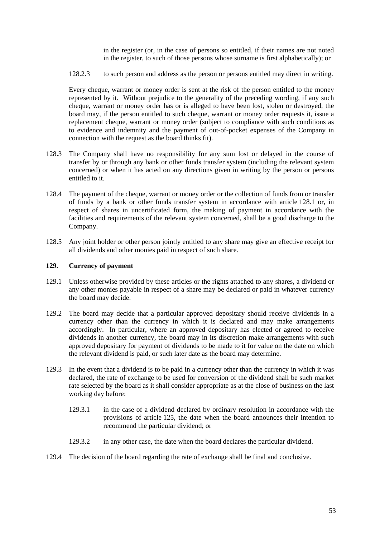in the register (or, in the case of persons so entitled, if their names are not noted in the register, to such of those persons whose surname is first alphabetically); or

128.2.3 to such person and address as the person or persons entitled may direct in writing.

Every cheque, warrant or money order is sent at the risk of the person entitled to the money represented by it. Without prejudice to the generality of the preceding wording, if any such cheque, warrant or money order has or is alleged to have been lost, stolen or destroyed, the board may, if the person entitled to such cheque, warrant or money order requests it, issue a replacement cheque, warrant or money order (subject to compliance with such conditions as to evidence and indemnity and the payment of out-of-pocket expenses of the Company in connection with the request as the board thinks fit).

- 128.3 The Company shall have no responsibility for any sum lost or delayed in the course of transfer by or through any bank or other funds transfer system (including the relevant system concerned) or when it has acted on any directions given in writing by the person or persons entitled to it.
- 128.4 The payment of the cheque, warrant or money order or the collection of funds from or transfer of funds by a bank or other funds transfer system in accordance with article 128.1 or, in respect of shares in uncertificated form, the making of payment in accordance with the facilities and requirements of the relevant system concerned, shall be a good discharge to the Company.
- 128.5 Any joint holder or other person jointly entitled to any share may give an effective receipt for all dividends and other monies paid in respect of such share.

#### **129. Currency of payment**

- 129.1 Unless otherwise provided by these articles or the rights attached to any shares, a dividend or any other monies payable in respect of a share may be declared or paid in whatever currency the board may decide.
- 129.2 The board may decide that a particular approved depositary should receive dividends in a currency other than the currency in which it is declared and may make arrangements accordingly. In particular, where an approved depositary has elected or agreed to receive dividends in another currency, the board may in its discretion make arrangements with such approved depositary for payment of dividends to be made to it for value on the date on which the relevant dividend is paid, or such later date as the board may determine.
- 129.3 In the event that a dividend is to be paid in a currency other than the currency in which it was declared, the rate of exchange to be used for conversion of the dividend shall be such market rate selected by the board as it shall consider appropriate as at the close of business on the last working day before:
	- 129.3.1 in the case of a dividend declared by ordinary resolution in accordance with the provisions of article 125, the date when the board announces their intention to recommend the particular dividend; or
	- 129.3.2 in any other case, the date when the board declares the particular dividend.
- 129.4 The decision of the board regarding the rate of exchange shall be final and conclusive.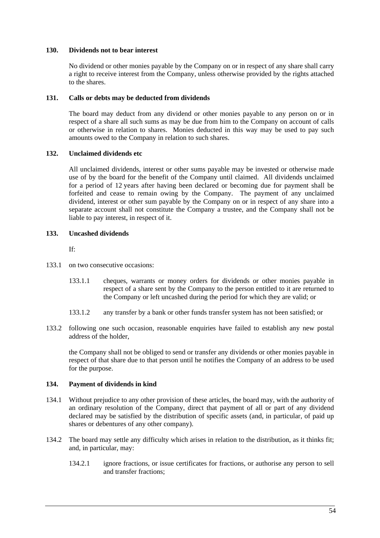## **130. Dividends not to bear interest**

No dividend or other monies payable by the Company on or in respect of any share shall carry a right to receive interest from the Company, unless otherwise provided by the rights attached to the shares.

## **131. Calls or debts may be deducted from dividends**

The board may deduct from any dividend or other monies payable to any person on or in respect of a share all such sums as may be due from him to the Company on account of calls or otherwise in relation to shares. Monies deducted in this way may be used to pay such amounts owed to the Company in relation to such shares.

## **132. Unclaimed dividends etc**

All unclaimed dividends, interest or other sums payable may be invested or otherwise made use of by the board for the benefit of the Company until claimed. All dividends unclaimed for a period of 12 years after having been declared or becoming due for payment shall be forfeited and cease to remain owing by the Company. The payment of any unclaimed dividend, interest or other sum payable by the Company on or in respect of any share into a separate account shall not constitute the Company a trustee, and the Company shall not be liable to pay interest, in respect of it.

## **133. Uncashed dividends**

If:

- 133.1 on two consecutive occasions:
	- 133.1.1 cheques, warrants or money orders for dividends or other monies payable in respect of a share sent by the Company to the person entitled to it are returned to the Company or left uncashed during the period for which they are valid; or
	- 133.1.2 any transfer by a bank or other funds transfer system has not been satisfied; or
- 133.2 following one such occasion, reasonable enquiries have failed to establish any new postal address of the holder,

the Company shall not be obliged to send or transfer any dividends or other monies payable in respect of that share due to that person until he notifies the Company of an address to be used for the purpose.

## **134. Payment of dividends in kind**

- 134.1 Without prejudice to any other provision of these articles, the board may, with the authority of an ordinary resolution of the Company, direct that payment of all or part of any dividend declared may be satisfied by the distribution of specific assets (and, in particular, of paid up shares or debentures of any other company).
- 134.2 The board may settle any difficulty which arises in relation to the distribution, as it thinks fit; and, in particular, may:
	- 134.2.1 ignore fractions, or issue certificates for fractions, or authorise any person to sell and transfer fractions;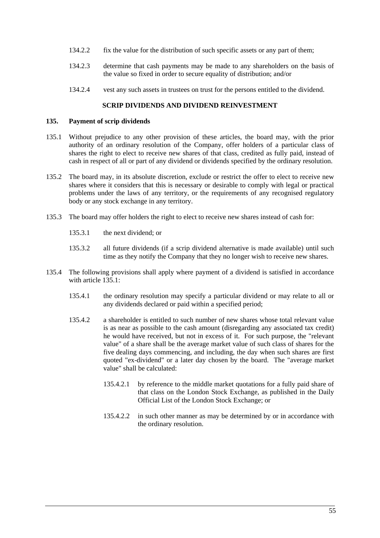- 134.2.2 fix the value for the distribution of such specific assets or any part of them;
- 134.2.3 determine that cash payments may be made to any shareholders on the basis of the value so fixed in order to secure equality of distribution; and/or
- 134.2.4 vest any such assets in trustees on trust for the persons entitled to the dividend.

## **SCRIP DIVIDENDS AND DIVIDEND REINVESTMENT**

#### **135. Payment of scrip dividends**

- 135.1 Without prejudice to any other provision of these articles, the board may, with the prior authority of an ordinary resolution of the Company, offer holders of a particular class of shares the right to elect to receive new shares of that class, credited as fully paid, instead of cash in respect of all or part of any dividend or dividends specified by the ordinary resolution.
- 135.2 The board may, in its absolute discretion, exclude or restrict the offer to elect to receive new shares where it considers that this is necessary or desirable to comply with legal or practical problems under the laws of any territory, or the requirements of any recognised regulatory body or any stock exchange in any territory.
- 135.3 The board may offer holders the right to elect to receive new shares instead of cash for:
	- 135.3.1 the next dividend; or
	- 135.3.2 all future dividends (if a scrip dividend alternative is made available) until such time as they notify the Company that they no longer wish to receive new shares.
- 135.4 The following provisions shall apply where payment of a dividend is satisfied in accordance with article 135.1.
	- 135.4.1 the ordinary resolution may specify a particular dividend or may relate to all or any dividends declared or paid within a specified period;
	- 135.4.2 a shareholder is entitled to such number of new shares whose total relevant value is as near as possible to the cash amount (disregarding any associated tax credit) he would have received, but not in excess of it. For such purpose, the "relevant value" of a share shall be the average market value of such class of shares for the five dealing days commencing, and including, the day when such shares are first quoted "ex-dividend" or a later day chosen by the board. The "average market value" shall be calculated:
		- 135.4.2.1 by reference to the middle market quotations for a fully paid share of that class on the London Stock Exchange, as published in the Daily Official List of the London Stock Exchange; or
		- 135.4.2.2 in such other manner as may be determined by or in accordance with the ordinary resolution.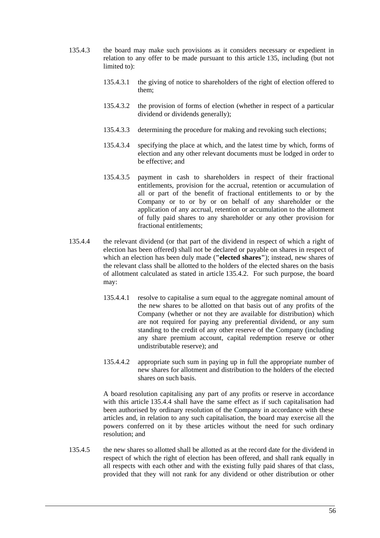- 135.4.3 the board may make such provisions as it considers necessary or expedient in relation to any offer to be made pursuant to this article 135, including (but not limited to):
	- 135.4.3.1 the giving of notice to shareholders of the right of election offered to them;
	- 135.4.3.2 the provision of forms of election (whether in respect of a particular dividend or dividends generally);
	- 135.4.3.3 determining the procedure for making and revoking such elections;
	- 135.4.3.4 specifying the place at which, and the latest time by which, forms of election and any other relevant documents must be lodged in order to be effective; and
	- 135.4.3.5 payment in cash to shareholders in respect of their fractional entitlements, provision for the accrual, retention or accumulation of all or part of the benefit of fractional entitlements to or by the Company or to or by or on behalf of any shareholder or the application of any accrual, retention or accumulation to the allotment of fully paid shares to any shareholder or any other provision for fractional entitlements;
- 135.4.4 the relevant dividend (or that part of the dividend in respect of which a right of election has been offered) shall not be declared or payable on shares in respect of which an election has been duly made (**"elected shares"**); instead, new shares of the relevant class shall be allotted to the holders of the elected shares on the basis of allotment calculated as stated in article 135.4.2. For such purpose, the board may:
	- 135.4.4.1 resolve to capitalise a sum equal to the aggregate nominal amount of the new shares to be allotted on that basis out of any profits of the Company (whether or not they are available for distribution) which are not required for paying any preferential dividend, or any sum standing to the credit of any other reserve of the Company (including any share premium account, capital redemption reserve or other undistributable reserve); and
	- 135.4.4.2 appropriate such sum in paying up in full the appropriate number of new shares for allotment and distribution to the holders of the elected shares on such basis.

A board resolution capitalising any part of any profits or reserve in accordance with this article 135.4.4 shall have the same effect as if such capitalisation had been authorised by ordinary resolution of the Company in accordance with these articles and, in relation to any such capitalisation, the board may exercise all the powers conferred on it by these articles without the need for such ordinary resolution; and

135.4.5 the new shares so allotted shall be allotted as at the record date for the dividend in respect of which the right of election has been offered, and shall rank equally in all respects with each other and with the existing fully paid shares of that class, provided that they will not rank for any dividend or other distribution or other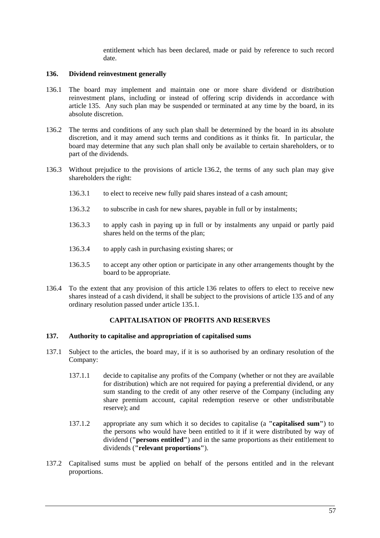entitlement which has been declared, made or paid by reference to such record date.

## **136. Dividend reinvestment generally**

- 136.1 The board may implement and maintain one or more share dividend or distribution reinvestment plans, including or instead of offering scrip dividends in accordance with article 135. Any such plan may be suspended or terminated at any time by the board, in its absolute discretion.
- 136.2 The terms and conditions of any such plan shall be determined by the board in its absolute discretion, and it may amend such terms and conditions as it thinks fit. In particular, the board may determine that any such plan shall only be available to certain shareholders, or to part of the dividends.
- 136.3 Without prejudice to the provisions of article 136.2, the terms of any such plan may give shareholders the right:
	- 136.3.1 to elect to receive new fully paid shares instead of a cash amount;
	- 136.3.2 to subscribe in cash for new shares, payable in full or by instalments;
	- 136.3.3 to apply cash in paying up in full or by instalments any unpaid or partly paid shares held on the terms of the plan;
	- 136.3.4 to apply cash in purchasing existing shares; or
	- 136.3.5 to accept any other option or participate in any other arrangements thought by the board to be appropriate.
- 136.4 To the extent that any provision of this article 136 relates to offers to elect to receive new shares instead of a cash dividend, it shall be subject to the provisions of article 135 and of any ordinary resolution passed under article 135.1.

## **CAPITALISATION OF PROFITS AND RESERVES**

#### **137. Authority to capitalise and appropriation of capitalised sums**

- 137.1 Subject to the articles, the board may, if it is so authorised by an ordinary resolution of the Company:
	- 137.1.1 decide to capitalise any profits of the Company (whether or not they are available for distribution) which are not required for paying a preferential dividend, or any sum standing to the credit of any other reserve of the Company (including any share premium account, capital redemption reserve or other undistributable reserve); and
	- 137.1.2 appropriate any sum which it so decides to capitalise (a **"capitalised sum"**) to the persons who would have been entitled to it if it were distributed by way of dividend (**"persons entitled"**) and in the same proportions as their entitlement to dividends (**"relevant proportions"**).
- 137.2 Capitalised sums must be applied on behalf of the persons entitled and in the relevant proportions.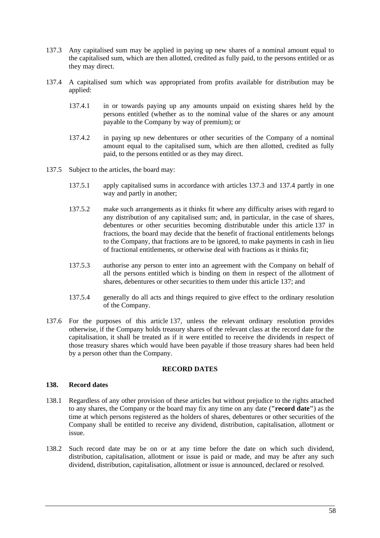- 137.3 Any capitalised sum may be applied in paying up new shares of a nominal amount equal to the capitalised sum, which are then allotted, credited as fully paid, to the persons entitled or as they may direct.
- 137.4 A capitalised sum which was appropriated from profits available for distribution may be applied:
	- 137.4.1 in or towards paying up any amounts unpaid on existing shares held by the persons entitled (whether as to the nominal value of the shares or any amount payable to the Company by way of premium); or
	- 137.4.2 in paying up new debentures or other securities of the Company of a nominal amount equal to the capitalised sum, which are then allotted, credited as fully paid, to the persons entitled or as they may direct.
- 137.5 Subject to the articles, the board may:
	- 137.5.1 apply capitalised sums in accordance with articles 137.3 and 137.4 partly in one way and partly in another;
	- 137.5.2 make such arrangements as it thinks fit where any difficulty arises with regard to any distribution of any capitalised sum; and, in particular, in the case of shares, debentures or other securities becoming distributable under this article 137 in fractions, the board may decide that the benefit of fractional entitlements belongs to the Company, that fractions are to be ignored, to make payments in cash in lieu of fractional entitlements, or otherwise deal with fractions as it thinks fit;
	- 137.5.3 authorise any person to enter into an agreement with the Company on behalf of all the persons entitled which is binding on them in respect of the allotment of shares, debentures or other securities to them under this article 137; and
	- 137.5.4 generally do all acts and things required to give effect to the ordinary resolution of the Company.
- 137.6 For the purposes of this article 137, unless the relevant ordinary resolution provides otherwise, if the Company holds treasury shares of the relevant class at the record date for the capitalisation, it shall be treated as if it were entitled to receive the dividends in respect of those treasury shares which would have been payable if those treasury shares had been held by a person other than the Company.

## **RECORD DATES**

## **138. Record dates**

- 138.1 Regardless of any other provision of these articles but without prejudice to the rights attached to any shares, the Company or the board may fix any time on any date (**"record date"**) as the time at which persons registered as the holders of shares, debentures or other securities of the Company shall be entitled to receive any dividend, distribution, capitalisation, allotment or issue.
- 138.2 Such record date may be on or at any time before the date on which such dividend, distribution, capitalisation, allotment or issue is paid or made, and may be after any such dividend, distribution, capitalisation, allotment or issue is announced, declared or resolved.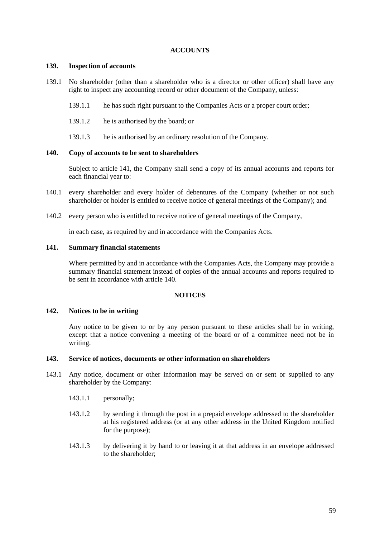## **ACCOUNTS**

## **139. Inspection of accounts**

- 139.1 No shareholder (other than a shareholder who is a director or other officer) shall have any right to inspect any accounting record or other document of the Company, unless:
	- 139.1.1 he has such right pursuant to the Companies Acts or a proper court order;
	- 139.1.2 he is authorised by the board; or
	- 139.1.3 he is authorised by an ordinary resolution of the Company.

## **140. Copy of accounts to be sent to shareholders**

Subject to article 141, the Company shall send a copy of its annual accounts and reports for each financial year to:

- 140.1 every shareholder and every holder of debentures of the Company (whether or not such shareholder or holder is entitled to receive notice of general meetings of the Company); and
- 140.2 every person who is entitled to receive notice of general meetings of the Company,

in each case, as required by and in accordance with the Companies Acts.

## **141. Summary financial statements**

Where permitted by and in accordance with the Companies Acts, the Company may provide a summary financial statement instead of copies of the annual accounts and reports required to be sent in accordance with article 140.

## **NOTICES**

# **142. Notices to be in writing**

Any notice to be given to or by any person pursuant to these articles shall be in writing, except that a notice convening a meeting of the board or of a committee need not be in writing.

## **143. Service of notices, documents or other information on shareholders**

- 143.1 Any notice, document or other information may be served on or sent or supplied to any shareholder by the Company:
	- 143.1.1 personally;
	- 143.1.2 by sending it through the post in a prepaid envelope addressed to the shareholder at his registered address (or at any other address in the United Kingdom notified for the purpose);
	- 143.1.3 by delivering it by hand to or leaving it at that address in an envelope addressed to the shareholder;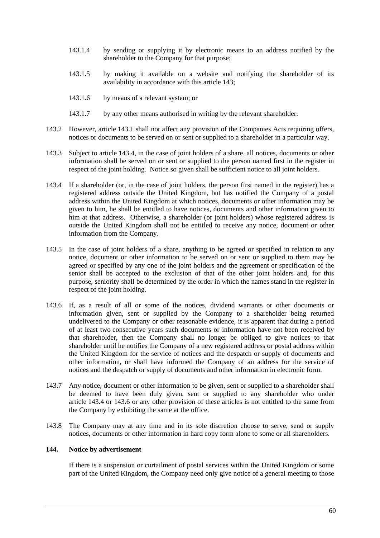- 143.1.4 by sending or supplying it by electronic means to an address notified by the shareholder to the Company for that purpose;
- 143.1.5 by making it available on a website and notifying the shareholder of its availability in accordance with this article 143;
- 143.1.6 by means of a relevant system; or
- 143.1.7 by any other means authorised in writing by the relevant shareholder.
- 143.2 However, article 143.1 shall not affect any provision of the Companies Acts requiring offers, notices or documents to be served on or sent or supplied to a shareholder in a particular way.
- 143.3 Subject to article 143.4, in the case of joint holders of a share, all notices, documents or other information shall be served on or sent or supplied to the person named first in the register in respect of the joint holding. Notice so given shall be sufficient notice to all joint holders.
- 143.4 If a shareholder (or, in the case of joint holders, the person first named in the register) has a registered address outside the United Kingdom, but has notified the Company of a postal address within the United Kingdom at which notices, documents or other information may be given to him, he shall be entitled to have notices, documents and other information given to him at that address. Otherwise, a shareholder (or joint holders) whose registered address is outside the United Kingdom shall not be entitled to receive any notice, document or other information from the Company.
- 143.5 In the case of joint holders of a share, anything to be agreed or specified in relation to any notice, document or other information to be served on or sent or supplied to them may be agreed or specified by any one of the joint holders and the agreement or specification of the senior shall be accepted to the exclusion of that of the other joint holders and, for this purpose, seniority shall be determined by the order in which the names stand in the register in respect of the joint holding.
- 143.6 If, as a result of all or some of the notices, dividend warrants or other documents or information given, sent or supplied by the Company to a shareholder being returned undelivered to the Company or other reasonable evidence, it is apparent that during a period of at least two consecutive years such documents or information have not been received by that shareholder, then the Company shall no longer be obliged to give notices to that shareholder until he notifies the Company of a new registered address or postal address within the United Kingdom for the service of notices and the despatch or supply of documents and other information, or shall have informed the Company of an address for the service of notices and the despatch or supply of documents and other information in electronic form.
- 143.7 Any notice, document or other information to be given, sent or supplied to a shareholder shall be deemed to have been duly given, sent or supplied to any shareholder who under article 143.4 or 143.6 or any other provision of these articles is not entitled to the same from the Company by exhibiting the same at the office.
- 143.8 The Company may at any time and in its sole discretion choose to serve, send or supply notices, documents or other information in hard copy form alone to some or all shareholders.

## **144. Notice by advertisement**

If there is a suspension or curtailment of postal services within the United Kingdom or some part of the United Kingdom, the Company need only give notice of a general meeting to those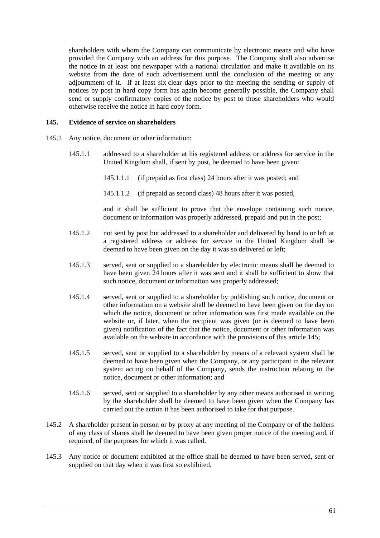shareholders with whom the Company can communicate by electronic means and who have provided the Company with an address for this purpose. The Company shall also advertise the notice in at least one newspaper with a national circulation and make it available on its website from the date of such advertisement until the conclusion of the meeting or any adjournment of it. If at least six clear days prior to the meeting the sending or supply of notices by post in hard copy form has again become generally possible, the Company shall send or supply confirmatory copies of the notice by post to those shareholders who would otherwise receive the notice in hard copy form.

#### **145. Evidence of service on shareholders**

- 145.1 Any notice, document or other information:
	- 145.1.1 addressed to a shareholder at his registered address or address for service in the United Kingdom shall, if sent by post, be deemed to have been given:
		- 145.1.1.1 (if prepaid as first class) 24 hours after it was posted; and
		- 145.1.1.2 (if prepaid as second class) 48 hours after it was posted,

and it shall be sufficient to prove that the envelope containing such notice, document or information was properly addressed, prepaid and put in the post;

- 145.1.2 not sent by post but addressed to a shareholder and delivered by hand to or left at a registered address or address for service in the United Kingdom shall be deemed to have been given on the day it was so delivered or left;
- 145.1.3 served, sent or supplied to a shareholder by electronic means shall be deemed to have been given 24 hours after it was sent and it shall be sufficient to show that such notice, document or information was properly addressed;
- 145.1.4 served, sent or supplied to a shareholder by publishing such notice, document or other information on a website shall be deemed to have been given on the day on which the notice, document or other information was first made available on the website or, if later, when the recipient was given (or is deemed to have been given) notification of the fact that the notice, document or other information was available on the website in accordance with the provisions of this article 145;
- 145.1.5 served, sent or supplied to a shareholder by means of a relevant system shall be deemed to have been given when the Company, or any participant in the relevant system acting on behalf of the Company, sends the instruction relating to the notice, document or other information; and
- 145.1.6 served, sent or supplied to a shareholder by any other means authorised in writing by the shareholder shall be deemed to have been given when the Company has carried out the action it has been authorised to take for that purpose.
- 145.2 A shareholder present in person or by proxy at any meeting of the Company or of the holders of any class of shares shall be deemed to have been given proper notice of the meeting and, if required, of the purposes for which it was called.
- 145.3 Any notice or document exhibited at the office shall be deemed to have been served, sent or supplied on that day when it was first so exhibited.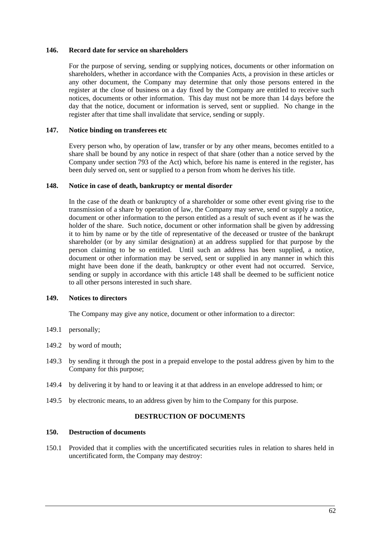#### **146. Record date for service on shareholders**

For the purpose of serving, sending or supplying notices, documents or other information on shareholders, whether in accordance with the Companies Acts, a provision in these articles or any other document, the Company may determine that only those persons entered in the register at the close of business on a day fixed by the Company are entitled to receive such notices, documents or other information. This day must not be more than 14 days before the day that the notice, document or information is served, sent or supplied. No change in the register after that time shall invalidate that service, sending or supply.

## **147. Notice binding on transferees etc**

Every person who, by operation of law, transfer or by any other means, becomes entitled to a share shall be bound by any notice in respect of that share (other than a notice served by the Company under section 793 of the Act) which, before his name is entered in the register, has been duly served on, sent or supplied to a person from whom he derives his title.

## **148. Notice in case of death, bankruptcy or mental disorder**

In the case of the death or bankruptcy of a shareholder or some other event giving rise to the transmission of a share by operation of law, the Company may serve, send or supply a notice, document or other information to the person entitled as a result of such event as if he was the holder of the share. Such notice, document or other information shall be given by addressing it to him by name or by the title of representative of the deceased or trustee of the bankrupt shareholder (or by any similar designation) at an address supplied for that purpose by the person claiming to be so entitled. Until such an address has been supplied, a notice, document or other information may be served, sent or supplied in any manner in which this might have been done if the death, bankruptcy or other event had not occurred. Service, sending or supply in accordance with this article 148 shall be deemed to be sufficient notice to all other persons interested in such share.

## **149. Notices to directors**

The Company may give any notice, document or other information to a director:

- 149.1 personally;
- 149.2 by word of mouth;
- 149.3 by sending it through the post in a prepaid envelope to the postal address given by him to the Company for this purpose;
- 149.4 by delivering it by hand to or leaving it at that address in an envelope addressed to him; or
- 149.5 by electronic means, to an address given by him to the Company for this purpose.

# **DESTRUCTION OF DOCUMENTS**

#### **150. Destruction of documents**

150.1 Provided that it complies with the uncertificated securities rules in relation to shares held in uncertificated form, the Company may destroy: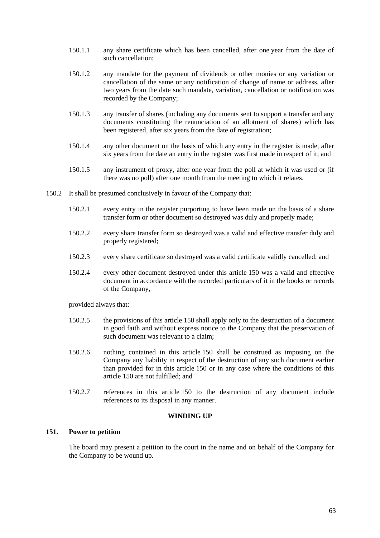- 150.1.1 any share certificate which has been cancelled, after one year from the date of such cancellation;
- 150.1.2 any mandate for the payment of dividends or other monies or any variation or cancellation of the same or any notification of change of name or address, after two years from the date such mandate, variation, cancellation or notification was recorded by the Company;
- 150.1.3 any transfer of shares (including any documents sent to support a transfer and any documents constituting the renunciation of an allotment of shares) which has been registered, after six years from the date of registration;
- 150.1.4 any other document on the basis of which any entry in the register is made, after six years from the date an entry in the register was first made in respect of it; and
- 150.1.5 any instrument of proxy, after one year from the poll at which it was used or (if there was no poll) after one month from the meeting to which it relates.
- 150.2 It shall be presumed conclusively in favour of the Company that:
	- 150.2.1 every entry in the register purporting to have been made on the basis of a share transfer form or other document so destroyed was duly and properly made;
	- 150.2.2 every share transfer form so destroyed was a valid and effective transfer duly and properly registered;
	- 150.2.3 every share certificate so destroyed was a valid certificate validly cancelled; and
	- 150.2.4 every other document destroyed under this article 150 was a valid and effective document in accordance with the recorded particulars of it in the books or records of the Company,

provided always that:

- 150.2.5 the provisions of this article 150 shall apply only to the destruction of a document in good faith and without express notice to the Company that the preservation of such document was relevant to a claim;
- 150.2.6 nothing contained in this article 150 shall be construed as imposing on the Company any liability in respect of the destruction of any such document earlier than provided for in this article 150 or in any case where the conditions of this article 150 are not fulfilled; and
- 150.2.7 references in this article 150 to the destruction of any document include references to its disposal in any manner.

#### **WINDING UP**

## **151. Power to petition**

The board may present a petition to the court in the name and on behalf of the Company for the Company to be wound up.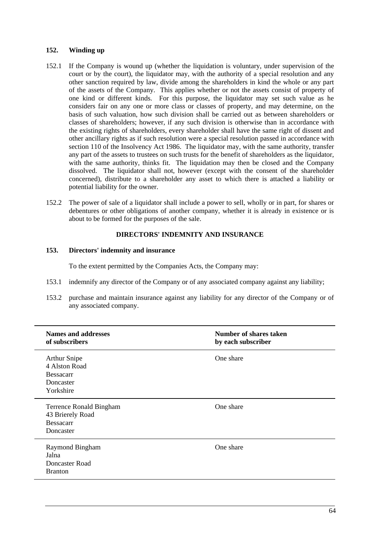### **152. Winding up**

- 152.1 If the Company is wound up (whether the liquidation is voluntary, under supervision of the court or by the court), the liquidator may, with the authority of a special resolution and any other sanction required by law, divide among the shareholders in kind the whole or any part of the assets of the Company. This applies whether or not the assets consist of property of one kind or different kinds. For this purpose, the liquidator may set such value as he considers fair on any one or more class or classes of property, and may determine, on the basis of such valuation, how such division shall be carried out as between shareholders or classes of shareholders; however, if any such division is otherwise than in accordance with the existing rights of shareholders, every shareholder shall have the same right of dissent and other ancillary rights as if such resolution were a special resolution passed in accordance with section 110 of the Insolvency Act 1986. The liquidator may, with the same authority, transfer any part of the assets to trustees on such trusts for the benefit of shareholders as the liquidator, with the same authority, thinks fit. The liquidation may then be closed and the Company dissolved. The liquidator shall not, however (except with the consent of the shareholder concerned), distribute to a shareholder any asset to which there is attached a liability or potential liability for the owner.
- 152.2 The power of sale of a liquidator shall include a power to sell, wholly or in part, for shares or debentures or other obligations of another company, whether it is already in existence or is about to be formed for the purposes of the sale.

# **DIRECTORS' INDEMNITY AND INSURANCE**

### **153. Directors' indemnity and insurance**

To the extent permitted by the Companies Acts, the Company may:

- 153.1 indemnify any director of the Company or of any associated company against any liability;
- 153.2 purchase and maintain insurance against any liability for any director of the Company or of any associated company.

| <b>Names and addresses</b><br>of subscribers                                        | <b>Number of shares taken</b><br>by each subscriber |
|-------------------------------------------------------------------------------------|-----------------------------------------------------|
| <b>Arthur Snipe</b><br>4 Alston Road<br><b>Bessacarr</b><br>Doncaster<br>Yorkshire  | One share                                           |
| <b>Terrence Ronald Bingham</b><br>43 Brierely Road<br><b>Bessacarr</b><br>Doncaster | One share                                           |
| Raymond Bingham<br>Jalna<br>Doncaster Road<br><b>Branton</b>                        | One share                                           |